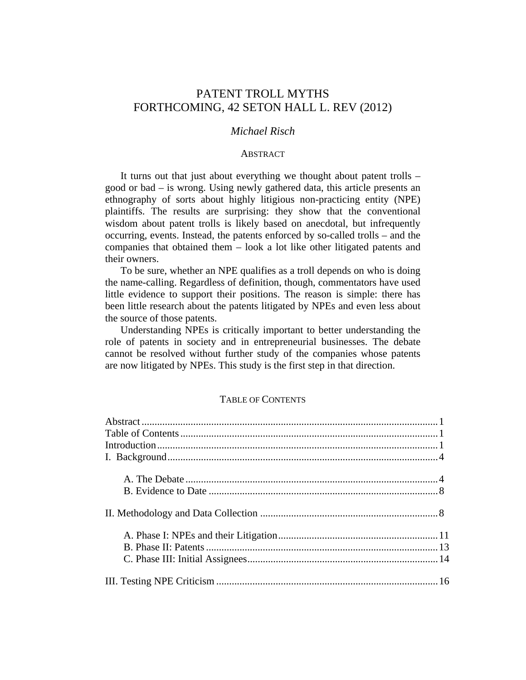# PATENT TROLL MYTHS FORTHCOMING, 42 SETON HALL L. REV (2012)

# *Michael Risch*

#### ABSTRACT

It turns out that just about everything we thought about patent trolls – good or bad – is wrong. Using newly gathered data, this article presents an ethnography of sorts about highly litigious non-practicing entity (NPE) plaintiffs. The results are surprising: they show that the conventional wisdom about patent trolls is likely based on anecdotal, but infrequently occurring, events. Instead, the patents enforced by so-called trolls – and the companies that obtained them – look a lot like other litigated patents and their owners.

To be sure, whether an NPE qualifies as a troll depends on who is doing the name-calling. Regardless of definition, though, commentators have used little evidence to support their positions. The reason is simple: there has been little research about the patents litigated by NPEs and even less about the source of those patents.

Understanding NPEs is critically important to better understanding the role of patents in society and in entrepreneurial businesses. The debate cannot be resolved without further study of the companies whose patents are now litigated by NPEs. This study is the first step in that direction.

# TABLE OF CONTENTS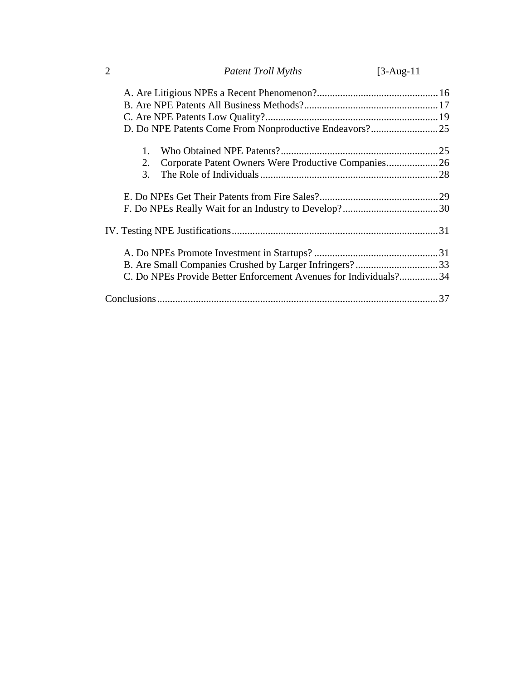| $\overline{2}$ | <b>Patent Troll Myths</b>                                        | $[3-Aug-11]$ |
|----------------|------------------------------------------------------------------|--------------|
|                |                                                                  |              |
|                |                                                                  |              |
|                |                                                                  |              |
|                |                                                                  |              |
| $\mathbf{1}$ . |                                                                  |              |
| 2.             | Corporate Patent Owners Were Productive Companies 26             |              |
| 3.             |                                                                  |              |
|                |                                                                  |              |
|                |                                                                  |              |
|                |                                                                  |              |
|                |                                                                  |              |
|                |                                                                  |              |
|                | C. Do NPEs Provide Better Enforcement Avenues for Individuals?34 |              |
|                |                                                                  |              |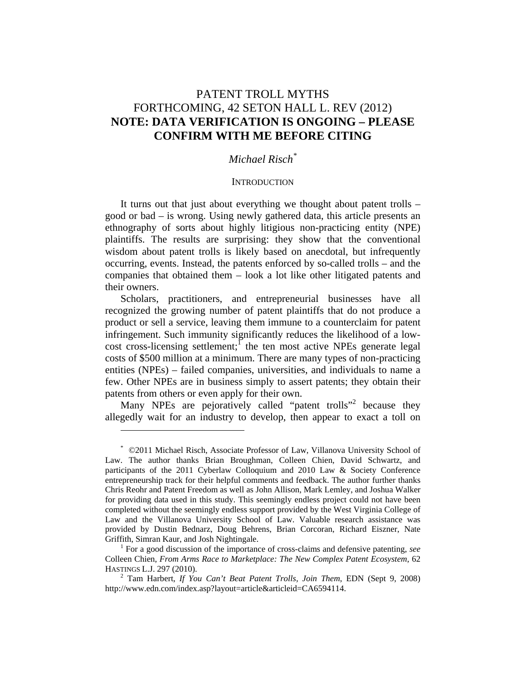# PATENT TROLL MYTHS FORTHCOMING, 42 SETON HALL L. REV (2012) **NOTE: DATA VERIFICATION IS ONGOING – PLEASE CONFIRM WITH ME BEFORE CITING**

# *Michael Risch\**

#### **INTRODUCTION**

It turns out that just about everything we thought about patent trolls – good or bad – is wrong. Using newly gathered data, this article presents an ethnography of sorts about highly litigious non-practicing entity (NPE) plaintiffs. The results are surprising: they show that the conventional wisdom about patent trolls is likely based on anecdotal, but infrequently occurring, events. Instead, the patents enforced by so-called trolls – and the companies that obtained them – look a lot like other litigated patents and their owners.

Scholars, practitioners, and entrepreneurial businesses have all recognized the growing number of patent plaintiffs that do not produce a product or sell a service, leaving them immune to a counterclaim for patent infringement. Such immunity significantly reduces the likelihood of a low $cost$  cross-licensing settlement;<sup>1</sup> the ten most active NPEs generate legal costs of \$500 million at a minimum. There are many types of non-practicing entities (NPEs) – failed companies, universities, and individuals to name a few. Other NPEs are in business simply to assert patents; they obtain their patents from others or even apply for their own.

Many NPEs are pejoratively called "patent trolls"<sup>2</sup> because they allegedly wait for an industry to develop, then appear to exact a toll on

<sup>\*</sup> ©2011 Michael Risch, Associate Professor of Law, Villanova University School of Law. The author thanks Brian Broughman, Colleen Chien, David Schwartz, and participants of the 2011 Cyberlaw Colloquium and 2010 Law & Society Conference entrepreneurship track for their helpful comments and feedback. The author further thanks Chris Reohr and Patent Freedom as well as John Allison, Mark Lemley, and Joshua Walker for providing data used in this study. This seemingly endless project could not have been completed without the seemingly endless support provided by the West Virginia College of Law and the Villanova University School of Law. Valuable research assistance was provided by Dustin Bednarz, Doug Behrens, Brian Corcoran, Richard Eiszner, Nate Griffith, Simran Kaur, and Josh Nightingale. 1

For a good discussion of the importance of cross-claims and defensive patenting, *see*  Colleen Chien, *From Arms Race to Marketplace: The New Complex Patent Ecosystem*, 62 HASTINGS L.J. 297 (2010). 2

Tam Harbert, *If You Can't Beat Patent Trolls, Join Them*, EDN (Sept 9, 2008) http://www.edn.com/index.asp?layout=article&articleid=CA6594114.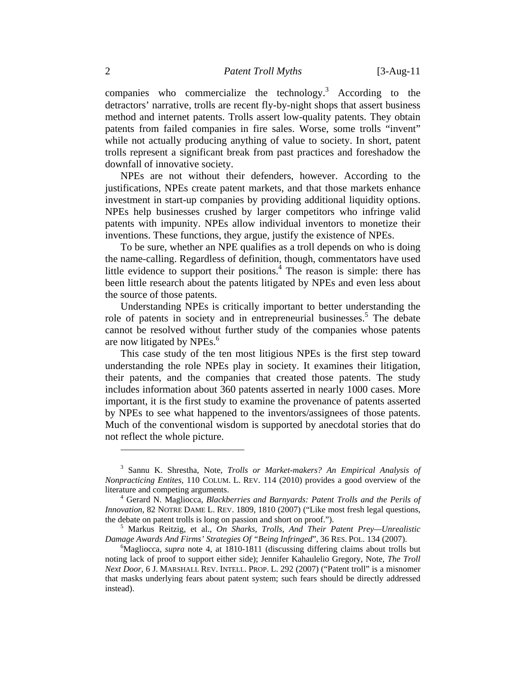companies who commercialize the technology.<sup>3</sup> According to the detractors' narrative, trolls are recent fly-by-night shops that assert business method and internet patents. Trolls assert low-quality patents. They obtain patents from failed companies in fire sales. Worse, some trolls "invent" while not actually producing anything of value to society. In short, patent trolls represent a significant break from past practices and foreshadow the downfall of innovative society.

NPEs are not without their defenders, however. According to the justifications, NPEs create patent markets, and that those markets enhance investment in start-up companies by providing additional liquidity options. NPEs help businesses crushed by larger competitors who infringe valid patents with impunity. NPEs allow individual inventors to monetize their inventions. These functions, they argue, justify the existence of NPEs.

To be sure, whether an NPE qualifies as a troll depends on who is doing the name-calling. Regardless of definition, though, commentators have used little evidence to support their positions. $\frac{4}{1}$  The reason is simple: there has been little research about the patents litigated by NPEs and even less about the source of those patents.

Understanding NPEs is critically important to better understanding the role of patents in society and in entrepreneurial businesses.<sup>5</sup> The debate cannot be resolved without further study of the companies whose patents are now litigated by NPEs.<sup>6</sup>

This case study of the ten most litigious NPEs is the first step toward understanding the role NPEs play in society. It examines their litigation, their patents, and the companies that created those patents. The study includes information about 360 patents asserted in nearly 1000 cases. More important, it is the first study to examine the provenance of patents asserted by NPEs to see what happened to the inventors/assignees of those patents. Much of the conventional wisdom is supported by anecdotal stories that do not reflect the whole picture.

<sup>3</sup> Sannu K. Shrestha, Note, *Trolls or Market-makers? An Empirical Analysis of Nonpracticing Entites*, 110 COLUM. L. REV. 114 (2010) provides a good overview of the literature and competing arguments. 4

Gerard N. Magliocca, *Blackberries and Barnyards: Patent Trolls and the Perils of Innovation*, 82 NOTRE DAME L. REV. 1809, 1810 (2007) ("Like most fresh legal questions, the debate on patent trolls is long on passion and short on proof.").

Markus Reitzig, et al., *On Sharks, Trolls, And Their Patent Prey—Unrealistic Damage Awards And Firms' Strategies Of "Being Infringed", 36 RES. POL. 134 (2007).* 

<sup>&</sup>lt;sup>6</sup>Magliocca, *supra* note 4, at 1810-1811 (discussing differing claims about trolls but noting lack of proof to support either side); Jennifer Kahaulelio Gregory, Note, *The Troll Next Door*, 6 J. MARSHALL REV. INTELL. PROP. L. 292 (2007) ("Patent troll" is a misnomer that masks underlying fears about patent system; such fears should be directly addressed instead).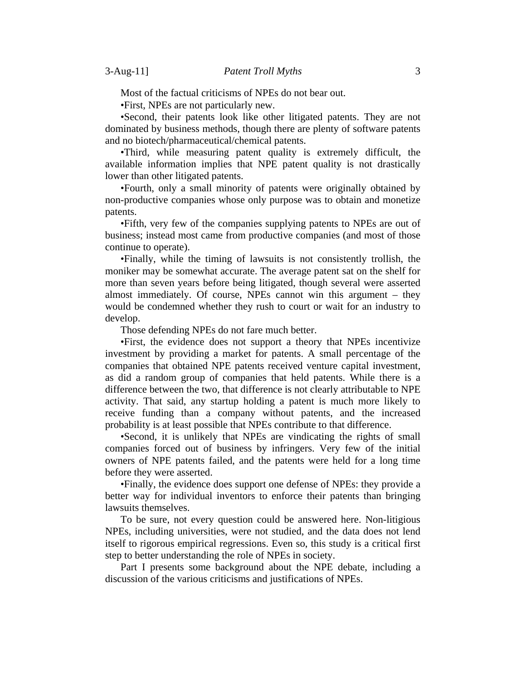Most of the factual criticisms of NPEs do not bear out.

•First, NPEs are not particularly new.

•Second, their patents look like other litigated patents. They are not dominated by business methods, though there are plenty of software patents and no biotech/pharmaceutical/chemical patents.

•Third, while measuring patent quality is extremely difficult, the available information implies that NPE patent quality is not drastically lower than other litigated patents.

•Fourth, only a small minority of patents were originally obtained by non-productive companies whose only purpose was to obtain and monetize patents.

•Fifth, very few of the companies supplying patents to NPEs are out of business; instead most came from productive companies (and most of those continue to operate).

•Finally, while the timing of lawsuits is not consistently trollish, the moniker may be somewhat accurate. The average patent sat on the shelf for more than seven years before being litigated, though several were asserted almost immediately. Of course, NPEs cannot win this argument – they would be condemned whether they rush to court or wait for an industry to develop.

Those defending NPEs do not fare much better.

•First, the evidence does not support a theory that NPEs incentivize investment by providing a market for patents. A small percentage of the companies that obtained NPE patents received venture capital investment, as did a random group of companies that held patents. While there is a difference between the two, that difference is not clearly attributable to NPE activity. That said, any startup holding a patent is much more likely to receive funding than a company without patents, and the increased probability is at least possible that NPEs contribute to that difference.

•Second, it is unlikely that NPEs are vindicating the rights of small companies forced out of business by infringers. Very few of the initial owners of NPE patents failed, and the patents were held for a long time before they were asserted.

•Finally, the evidence does support one defense of NPEs: they provide a better way for individual inventors to enforce their patents than bringing lawsuits themselves.

To be sure, not every question could be answered here. Non-litigious NPEs, including universities, were not studied, and the data does not lend itself to rigorous empirical regressions. Even so, this study is a critical first step to better understanding the role of NPEs in society.

Part I presents some background about the NPE debate, including a discussion of the various criticisms and justifications of NPEs.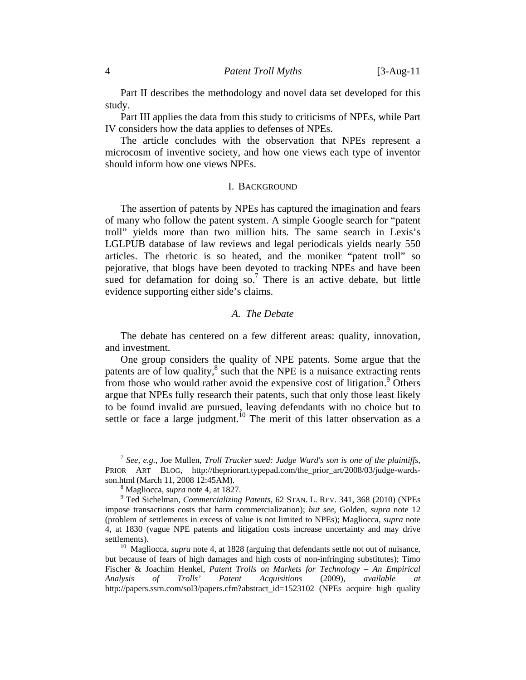Part II describes the methodology and novel data set developed for this study.

Part III applies the data from this study to criticisms of NPEs, while Part IV considers how the data applies to defenses of NPEs.

The article concludes with the observation that NPEs represent a microcosm of inventive society, and how one views each type of inventor should inform how one views NPEs.

#### I. BACKGROUND

The assertion of patents by NPEs has captured the imagination and fears of many who follow the patent system. A simple Google search for "patent troll" yields more than two million hits. The same search in Lexis's LGLPUB database of law reviews and legal periodicals yields nearly 550 articles. The rhetoric is so heated, and the moniker "patent troll" so pejorative, that blogs have been devoted to tracking NPEs and have been sued for defamation for doing so.<sup>7</sup> There is an active debate, but little evidence supporting either side's claims.

# *A. The Debate*

The debate has centered on a few different areas: quality, innovation, and investment.

One group considers the quality of NPE patents. Some argue that the patents are of low quality, $^8$  such that the NPE is a nuisance extracting rents from those who would rather avoid the expensive cost of litigation.<sup>9</sup> Others argue that NPEs fully research their patents, such that only those least likely to be found invalid are pursued, leaving defendants with no choice but to settle or face a large judgment.<sup>10</sup> The merit of this latter observation as a

<sup>7</sup> *See, e.g.*, Joe Mullen, *Troll Tracker sued: Judge Ward's son is one of the plaintiffs*, PRIOR ART BLOG, http://thepriorart.typepad.com/the\_prior\_art/2008/03/judge-wardsson.html (March 11, 2008 12:45AM).

<sup>&</sup>lt;sup>8</sup> Magliocca, *supra* note 4, at 1827.

Ted Sichelman, *Commercializing Patents*, 62 STAN. L. REV. 341, 368 (2010) (NPEs impose transactions costs that harm commercialization); *but see*, Golden, *supra* note 12 (problem of settlements in excess of value is not limited to NPEs); Magliocca, *supra* note 4, at 1830 (vague NPE patents and litigation costs increase uncertainty and may drive settlements).<br><sup>10</sup> Magliocca, *supra* note 4, at 1828 (arguing that defendants settle not out of nuisance,

but because of fears of high damages and high costs of non-infringing substitutes); Timo Fischer & Joachim Henkel, *Patent Trolls on Markets for Technology – An Empirical Analysis of Trolls' Patent Acquisitions* (2009), *available at* http://papers.ssrn.com/sol3/papers.cfm?abstract\_id=1523102 (NPEs acquire high quality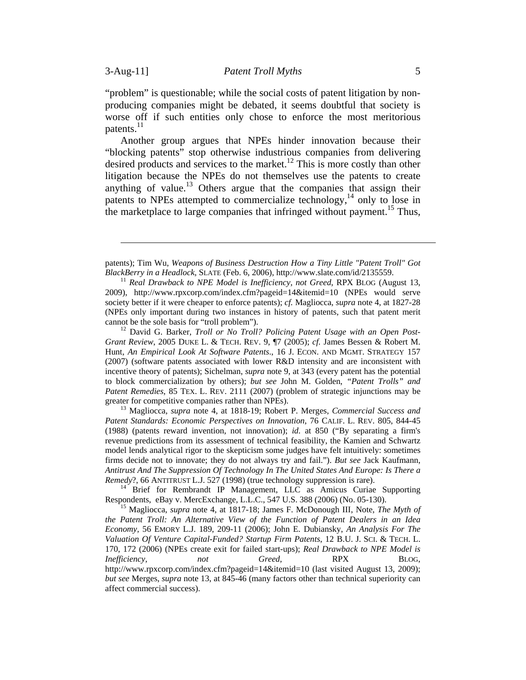"problem" is questionable; while the social costs of patent litigation by nonproducing companies might be debated, it seems doubtful that society is worse off if such entities only chose to enforce the most meritorious patents. $^{11}$ 

Another group argues that NPEs hinder innovation because their "blocking patents" stop otherwise industrious companies from delivering desired products and services to the market.<sup>12</sup> This is more costly than other litigation because the NPEs do not themselves use the patents to create anything of value.<sup>13</sup> Others argue that the companies that assign their patents to NPEs attempted to commercialize technology, $^{14}$  only to lose in the marketplace to large companies that infringed without payment.<sup>15</sup> Thus,

*Grant Review*, 2005 DUKE L. & TECH. REV. 9, ¶7 (2005); *cf.* James Bessen & Robert M. Hunt, *An Empirical Look At Software Patents*., 16 J. ECON. AND MGMT. STRATEGY 157 (2007) (software patents associated with lower R&D intensity and are inconsistent with incentive theory of patents); Sichelman, *supra* note 9, at 343 (every patent has the potential to block commercialization by others); *but see* John M. Golden, *"Patent Trolls" and Patent Remedies*, 85 TEX. L. REV. 2111 (2007) (problem of strategic injunctions may be greater for competitive companies rather than NPEs). 13 Magliocca, *supra* note 4, at 1818-19; Robert P. Merges, *Commercial Success and* 

*Patent Standards: Economic Perspectives on Innovation*, 76 CALIF. L. REV. 805, 844-45 (1988) (patents reward invention, not innovation); *id.* at 850 ("By separating a firm's revenue predictions from its assessment of technical feasibility, the Kamien and Schwartz model lends analytical rigor to the skepticism some judges have felt intuitively: sometimes firms decide not to innovate; they do not always try and fail."). *But see* Jack Kaufmann, *Antitrust And The Suppression Of Technology In The United States And Europe: Is There a Remedy*?, 66 ANTITRUST L.J. 527 (1998) (true technology suppression is rare).<br><sup>14</sup> Brief for Rembrandt IP Management, LLC as Amicus Curiae Supporting

Respondents, eBay v. MercExchange, L.L.C., 547 U.S. 388 (2006) (No. 05-130). 15 Magliocca, *supra* note 4, at 1817-18; James F. McDonough III, Note, *The Myth of* 

*the Patent Troll: An Alternative View of the Function of Patent Dealers in an Idea Economy,* 56 EMORY L.J. 189, 209-11 (2006); John E. Dubiansky, *An Analysis For The Valuation Of Venture Capital-Funded? Startup Firm Patents*, 12 B.U. J. SCI. & TECH. L. 170, 172 (2006) (NPEs create exit for failed start-ups); *Real Drawback to NPE Model is Inefficiency, not Greed*, RPX BLOG, http://www.rpxcorp.com/index.cfm?pageid=14&itemid=10 (last visited August 13, 2009); *but see* Merges, *supra* note 13, at 845-46 (many factors other than technical superiority can affect commercial success).

patents); Tim Wu, *Weapons of Business Destruction How a Tiny Little "Patent Troll" Got BlackBerry in a Headlock*, SLATE (Feb. 6, 2006), http://www.slate.com/id/2135559.<br><sup>11</sup> *Real Drawback to NPE Model is Inefficiency, not Greed*, RPX BLOG (August 13,

<sup>2009),</sup> http://www.rpxcorp.com/index.cfm?pageid=14&itemid=10 (NPEs would serve society better if it were cheaper to enforce patents); *cf.* Magliocca, *supra* note 4, at 1827-28 (NPEs only important during two instances in history of patents, such that patent merit cannot be the sole basis for "troll problem"). 12 David G. Barker, *Troll or No Troll? Policing Patent Usage with an Open Post-*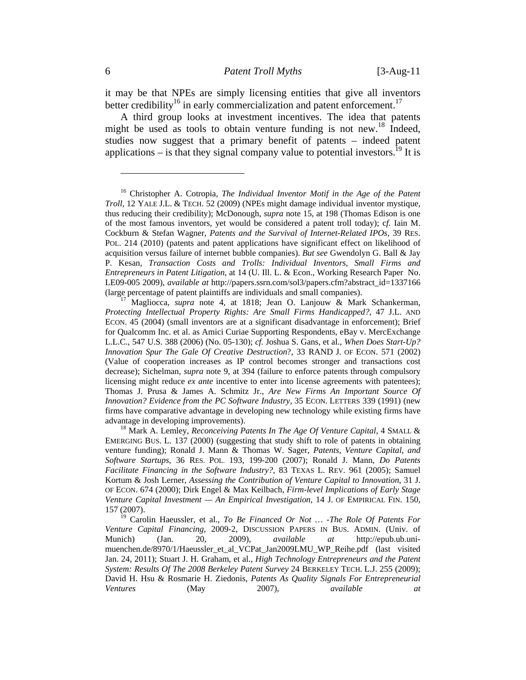it may be that NPEs are simply licensing entities that give all inventors better credibility<sup>16</sup> in early commercialization and patent enforcement.<sup>17</sup>

A third group looks at investment incentives. The idea that patents might be used as tools to obtain venture funding is not new.<sup>18</sup> Indeed, studies now suggest that a primary benefit of patents – indeed patent applications – is that they signal company value to potential investors.<sup>19</sup> It is

<sup>&</sup>lt;sup>16</sup> Christopher A. Cotropia, *The Individual Inventor Motif in the Age of the Patent Troll*, 12 YALE J.L. & TECH. 52 (2009) (NPEs might damage individual inventor mystique, thus reducing their credibility); McDonough, *supra* note 15, at 198 (Thomas Edison is one of the most famous inventors, yet would be considered a patent troll today); c*f.* Iain M. Cockburn & Stefan Wagner, *Patents and the Survival of Internet-Related IPOs,* 39 RES. POL. 214 (2010) (patents and patent applications have significant effect on likelihood of acquisition versus failure of internet bubble companies). *But see* Gwendolyn G. Ball & Jay P. Kesan, *Transaction Costs and Trolls: Individual Inventors, Small Firms and Entrepreneurs in Patent Litigation*, at 14 (U. Ill. L. & Econ., Working Research Paper No. LE09-005 2009), *available at* http://papers.ssrn.com/sol3/papers.cfm?abstract\_id=1337166 (large percentage of patent plaintiffs are individuals and small companies). 17 Magliocca, *supra* note 4, at 1818; Jean O. Lanjouw & Mark Schankerman,

*Protecting Intellectual Property Rights: Are Small Firms Handicapped?*, 47 J.L. AND ECON. 45 (2004) (small inventors are at a significant disadvantage in enforcement); Brief for Qualcomm Inc. et al. as Amici Curiae Supporting Respondents, eBay v. MercExchange L.L.C., 547 U.S. 388 (2006) (No. 05-130); *cf.* Joshua S. Gans, et al., *When Does Start-Up? Innovation Spur The Gale Of Creative Destruction*?, 33 RAND J. OF ECON. 571 (2002) (Value of cooperation increases as IP control becomes stronger and transactions cost decrease); Sichelman, *supra* note 9, at 394 (failure to enforce patents through compulsory licensing might reduce *ex ante* incentive to enter into license agreements with patentees); Thomas J. Prusa & James A. Schmitz Jr., *Are New Firms An Important Source Of Innovation? Evidence from the PC Software Industry*, 35 ECON. LETTERS 339 (1991) (new firms have comparative advantage in developing new technology while existing firms have advantage in developing improvements). 18 Mark A. Lemley, *Reconceiving Patents In The Age Of Venture Capital*, 4 SMALL &

EMERGING BUS. L. 137 (2000) (suggesting that study shift to role of patents in obtaining venture funding); Ronald J. Mann & Thomas W. Sager, *Patents, Venture Capital, and Software Startups*, 36 RES. POL. 193, 199-200 (2007); Ronald J. Mann, *Do Patents Facilitate Financing in the Software Industry?*, 83 TEXAS L. REV. 961 (2005); Samuel Kortum & Josh Lerner, *Assessing the Contribution of Venture Capital to Innovation*, 31 J. OF ECON. 674 (2000); Dirk Engel & Max Keilbach, *Firm-level Implications of Early Stage Venture Capital Investment — An Empirical Investigation*, 14 J. OF EMPIRICAL FIN. 150, 157 (2007).

<sup>19</sup> Carolin Haeussler, et al., *To Be Financed Or Not … -The Role Of Patents For Venture Capital Financing*, 2009-2, DISCUSSION PAPERS IN BUS. ADMIN. (Univ. of Munich) (Jan. 20, 2009), *available at* http://epub.ub.unimuenchen.de/8970/1/Haeussler\_et\_al\_VCPat\_Jan2009LMU\_WP\_Reihe.pdf (last visited Jan. 24, 2011); Stuart J. H. Graham, et al., *High Technology Entrepreneurs and the Patent System: Results Of The 2008 Berkeley Patent Survey* 24 BERKELEY TECH. L.J. 255 (2009); David H. Hsu & Rosmarie H. Ziedonis, *Patents As Quality Signals For Entrepreneurial Ventures* (May 2007), *available at*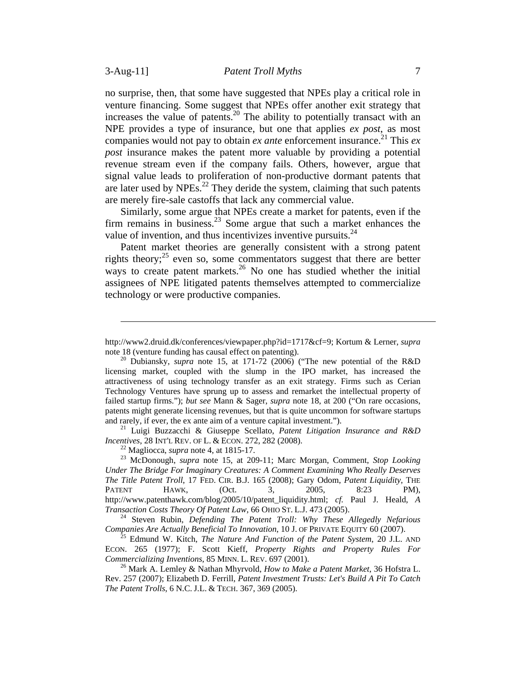no surprise, then, that some have suggested that NPEs play a critical role in venture financing. Some suggest that NPEs offer another exit strategy that increases the value of patents.<sup>20</sup> The ability to potentially transact with an NPE provides a type of insurance, but one that applies *ex post*, as most companies would not pay to obtain  $ex$  ante enforcement insurance.<sup>21</sup> This  $ex$ *post* insurance makes the patent more valuable by providing a potential revenue stream even if the company fails. Others, however, argue that signal value leads to proliferation of non-productive dormant patents that are later used by  $NPEs<sup>22</sup>$ . They deride the system, claiming that such patents are merely fire-sale castoffs that lack any commercial value.

Similarly, some argue that NPEs create a market for patents, even if the firm remains in business.<sup>23</sup> Some argue that such a market enhances the value of invention, and thus incentivizes inventive pursuits. $^{24}$ 

Patent market theories are generally consistent with a strong patent rights theory; $25$  even so, some commentators suggest that there are better ways to create patent markets.<sup>26</sup> No one has studied whether the initial assignees of NPE litigated patents themselves attempted to commercialize technology or were productive companies.

*Incentives*, 28 INT'L REV. OF L. & ECON. 272, 282 (2008).<br><sup>22</sup> Magliocca, *supra* note 4, at 1815-17.<br><sup>23</sup> McDonough, *supra* note 15, at 209-11; Marc Morgan, Comment, *Stop Looking* 

http://www2.druid.dk/conferences/viewpaper.php?id=1717&cf=9; Kortum & Lerner, *supra* note 18 (venture funding has causal effect on patenting). 20 Dubiansky, *supra* note 15, at 171-72 (2006) ("The new potential of the R&D

licensing market, coupled with the slump in the IPO market, has increased the attractiveness of using technology transfer as an exit strategy. Firms such as Cerian Technology Ventures have sprung up to assess and remarket the intellectual property of failed startup firms."); *but see* Mann & Sager, *supra* note 18, at 200 ("On rare occasions, patents might generate licensing revenues, but that is quite uncommon for software startups and rarely, if ever, the ex ante aim of a venture capital investment."). 21 Luigi Buzzacchi & Giuseppe Scellato, *Patent Litigation Insurance and R&D* 

*Under The Bridge For Imaginary Creatures: A Comment Examining Who Really Deserves The Title Patent Troll*, 17 FED. CIR. B.J. 165 (2008); Gary Odom, *Patent Liquidity,* THE PATENT HAWK, (Oct. 3, 2005, 8:23 PM), http://www.patenthawk.com/blog/2005/10/patent\_liquidity.html; *cf.* Paul J. Heald, *A* 

<sup>&</sup>lt;sup>24</sup> Steven Rubin, *Defending The Patent Troll: Why These Allegedly Nefarious Companies Are Actually Beneficial To Innovation, 10 J. OF PRIVATE EQUITY 60 (2007).* 

<sup>&</sup>lt;sup>25</sup> Edmund W. Kitch, *The Nature And Function of the Patent System*, 20 J.L. AND ECON. 265 (1977); F. Scott Kieff, *Property Rights and Property Rules For Commercializing Inventions*, 85 MINN. L. REV. 697 (2001).<br><sup>26</sup> Mark A. Lemley & Nathan Mhyrvold, *How to Make a Patent Market*, 36 Hofstra L.

Rev. 257 (2007); Elizabeth D. Ferrill, *Patent Investment Trusts: Let's Build A Pit To Catch The Patent Trolls*, 6 N.C. J.L. & TECH. 367, 369 (2005).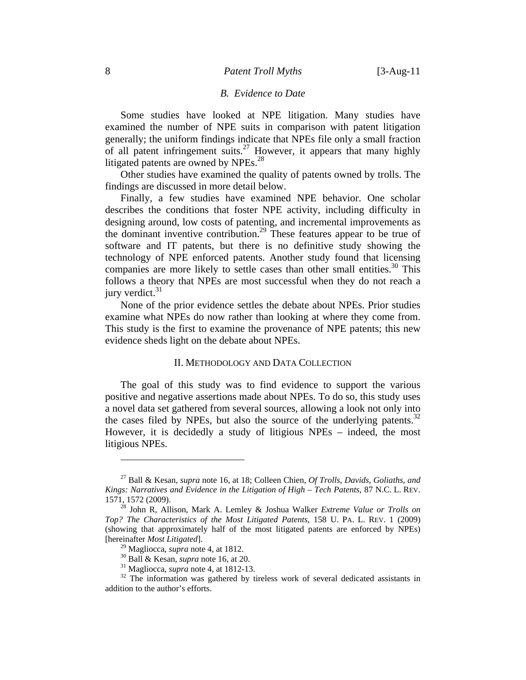#### *B. Evidence to Date*

Some studies have looked at NPE litigation. Many studies have examined the number of NPE suits in comparison with patent litigation generally; the uniform findings indicate that NPEs file only a small fraction of all patent infringement suits.<sup>27</sup> However, it appears that many highly litigated patents are owned by NPEs. $^{28}$ 

Other studies have examined the quality of patents owned by trolls. The findings are discussed in more detail below.

Finally, a few studies have examined NPE behavior. One scholar describes the conditions that foster NPE activity, including difficulty in designing around, low costs of patenting, and incremental improvements as the dominant inventive contribution.<sup>29</sup> These features appear to be true of software and IT patents, but there is no definitive study showing the technology of NPE enforced patents. Another study found that licensing companies are more likely to settle cases than other small entities.<sup>30</sup> This follows a theory that NPEs are most successful when they do not reach a jury verdict. $31$ 

None of the prior evidence settles the debate about NPEs. Prior studies examine what NPEs do now rather than looking at where they come from. This study is the first to examine the provenance of NPE patents; this new evidence sheds light on the debate about NPEs.

### II. METHODOLOGY AND DATA COLLECTION

The goal of this study was to find evidence to support the various positive and negative assertions made about NPEs. To do so, this study uses a novel data set gathered from several sources, allowing a look not only into the cases filed by NPEs, but also the source of the underlying patents.<sup>32</sup> However, it is decidedly a study of litigious NPEs – indeed, the most litigious NPEs.

<sup>27</sup> Ball & Kesan, *supra* note 16, at 18; Colleen Chien, *Of Trolls, Davids, Goliaths, and Kings: Narratives and Evidence in the Litigation of High – Tech Patents*, 87 N.C. L. REV. 1571, 1572 (2009). 28 John R, Allison, Mark A. Lemley & Joshua Walker *Extreme Value or Trolls on* 

*Top? The Characteristics of the Most Litigated Patents*, 158 U. PA. L. REV. 1 (2009) (showing that approximately half of the most litigated patents are enforced by NPEs) [hereinafter *Most Litigated*].

<sup>&</sup>lt;sup>30</sup> Ball & Kesan, *supra* note 16, at 20.<br><sup>31</sup> Magliocca, *supra* note 4, at 1812-13.<br><sup>32</sup> The information was gathered by tireless work of several dedicated assistants in addition to the author's efforts.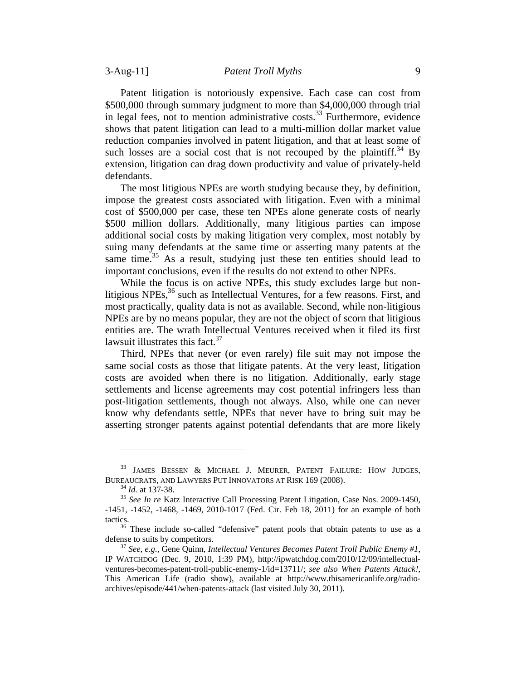Patent litigation is notoriously expensive. Each case can cost from \$500,000 through summary judgment to more than \$4,000,000 through trial in legal fees, not to mention administrative costs.<sup>33</sup> Furthermore, evidence shows that patent litigation can lead to a multi-million dollar market value reduction companies involved in patent litigation, and that at least some of such losses are a social cost that is not recouped by the plaintiff.<sup>34</sup> By extension, litigation can drag down productivity and value of privately-held defendants.

The most litigious NPEs are worth studying because they, by definition, impose the greatest costs associated with litigation. Even with a minimal cost of \$500,000 per case, these ten NPEs alone generate costs of nearly \$500 million dollars. Additionally, many litigious parties can impose additional social costs by making litigation very complex, most notably by suing many defendants at the same time or asserting many patents at the same time.<sup>35</sup> As a result, studying just these ten entities should lead to important conclusions, even if the results do not extend to other NPEs.

While the focus is on active NPEs, this study excludes large but nonlitigious NPEs,  $36$  such as Intellectual Ventures, for a few reasons. First, and most practically, quality data is not as available. Second, while non-litigious NPEs are by no means popular, they are not the object of scorn that litigious entities are. The wrath Intellectual Ventures received when it filed its first lawsuit illustrates this fact.<sup>37</sup>

Third, NPEs that never (or even rarely) file suit may not impose the same social costs as those that litigate patents. At the very least, litigation costs are avoided when there is no litigation. Additionally, early stage settlements and license agreements may cost potential infringers less than post-litigation settlements, though not always. Also, while one can never know why defendants settle, NPEs that never have to bring suit may be asserting stronger patents against potential defendants that are more likely

<sup>33</sup> JAMES BESSEN & MICHAEL J. MEURER, PATENT FAILURE: HOW JUDGES, BUREAUCRATS, AND LAWYERS PUT INNOVATORS AT RISK 169 (2008).<br><sup>34</sup> *Id.* at 137-38.<br><sup>35</sup> *See In re* Katz Interactive Call Processing Patent Litigation, Case Nos. 2009-1450,

<sup>-1451, -1452, -1468, -1469, 2010-1017 (</sup>Fed. Cir. Feb 18, 2011) for an example of both tactics.<br><sup>36</sup> These include so-called "defensive" patent pools that obtain patents to use as a

defense to suits by competitors. 37 *See*, *e.g.,* Gene Quinn, *Intellectual Ventures Becomes Patent Troll Public Enemy #1*,

IP WATCHDOG (Dec. 9, 2010, 1:39 PM), http://ipwatchdog.com/2010/12/09/intellectualventures-becomes-patent-troll-public-enemy-1/id=13711/; *see also When Patents Attack!*, This American Life (radio show), available at http://www.thisamericanlife.org/radioarchives/episode/441/when-patents-attack (last visited July 30, 2011).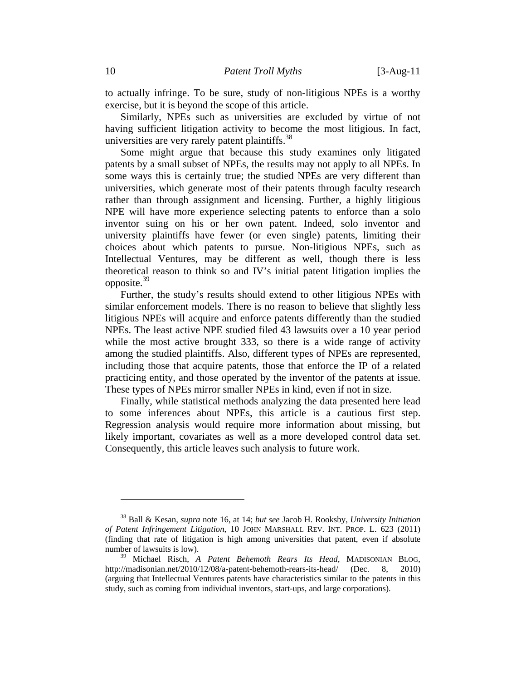to actually infringe. To be sure, study of non-litigious NPEs is a worthy exercise, but it is beyond the scope of this article.

Similarly, NPEs such as universities are excluded by virtue of not having sufficient litigation activity to become the most litigious. In fact, universities are very rarely patent plaintiffs. $38$ 

Some might argue that because this study examines only litigated patents by a small subset of NPEs, the results may not apply to all NPEs. In some ways this is certainly true; the studied NPEs are very different than universities, which generate most of their patents through faculty research rather than through assignment and licensing. Further, a highly litigious NPE will have more experience selecting patents to enforce than a solo inventor suing on his or her own patent. Indeed, solo inventor and university plaintiffs have fewer (or even single) patents, limiting their choices about which patents to pursue. Non-litigious NPEs, such as Intellectual Ventures, may be different as well, though there is less theoretical reason to think so and IV's initial patent litigation implies the opposite. $39$ 

Further, the study's results should extend to other litigious NPEs with similar enforcement models. There is no reason to believe that slightly less litigious NPEs will acquire and enforce patents differently than the studied NPEs. The least active NPE studied filed 43 lawsuits over a 10 year period while the most active brought 333, so there is a wide range of activity among the studied plaintiffs. Also, different types of NPEs are represented, including those that acquire patents, those that enforce the IP of a related practicing entity, and those operated by the inventor of the patents at issue. These types of NPEs mirror smaller NPEs in kind, even if not in size.

Finally, while statistical methods analyzing the data presented here lead to some inferences about NPEs, this article is a cautious first step. Regression analysis would require more information about missing, but likely important, covariates as well as a more developed control data set. Consequently, this article leaves such analysis to future work.

<sup>38</sup> Ball & Kesan, *supra* note 16, at 14; *but see* Jacob H. Rooksby, *University Initiation of Patent Infringement Litigation*, 10 JOHN MARSHALL REV. INT. PROP. L. 623 (2011) (finding that rate of litigation is high among universities that patent, even if absolute number of lawsuits is low).

<sup>39</sup> Michael Risch, *A Patent Behemoth Rears Its Head*, MADISONIAN BLOG, http://madisonian.net/2010/12/08/a-patent-behemoth-rears-its-head/ (Dec. 8, 2010) (arguing that Intellectual Ventures patents have characteristics similar to the patents in this study, such as coming from individual inventors, start-ups, and large corporations).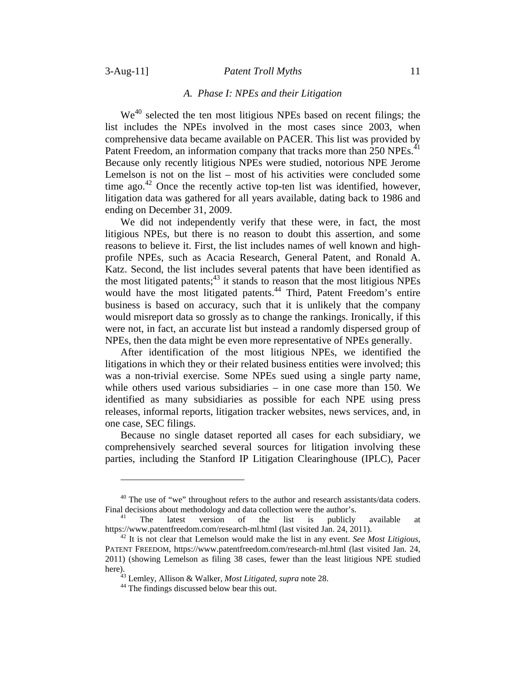# 3-Aug-11] *Patent Troll Myths* 11

### *A. Phase I: NPEs and their Litigation*

We<sup>40</sup> selected the ten most litigious NPEs based on recent filings; the list includes the NPEs involved in the most cases since 2003, when comprehensive data became available on PACER. This list was provided by Patent Freedom, an information company that tracks more than 250 NPEs.<sup>41</sup> Because only recently litigious NPEs were studied, notorious NPE Jerome Lemelson is not on the list – most of his activities were concluded some time ago.<sup>42</sup> Once the recently active top-ten list was identified, however, litigation data was gathered for all years available, dating back to 1986 and ending on December 31, 2009.

We did not independently verify that these were, in fact, the most litigious NPEs, but there is no reason to doubt this assertion, and some reasons to believe it. First, the list includes names of well known and highprofile NPEs, such as Acacia Research, General Patent, and Ronald A. Katz. Second, the list includes several patents that have been identified as the most litigated patents; $43$  it stands to reason that the most litigious NPEs would have the most litigated patents.<sup>44</sup> Third, Patent Freedom's entire business is based on accuracy, such that it is unlikely that the company would misreport data so grossly as to change the rankings. Ironically, if this were not, in fact, an accurate list but instead a randomly dispersed group of NPEs, then the data might be even more representative of NPEs generally.

After identification of the most litigious NPEs, we identified the litigations in which they or their related business entities were involved; this was a non-trivial exercise. Some NPEs sued using a single party name, while others used various subsidiaries – in one case more than 150. We identified as many subsidiaries as possible for each NPE using press releases, informal reports, litigation tracker websites, news services, and, in one case, SEC filings.

Because no single dataset reported all cases for each subsidiary, we comprehensively searched several sources for litigation involving these parties, including the Stanford IP Litigation Clearinghouse (IPLC), Pacer

<sup>&</sup>lt;sup>40</sup> The use of "we" throughout refers to the author and research assistants/data coders.

Final decisions about methodology and data collection were the author's.<br>
<sup>41</sup> The latest version of the list is publicly available at<br>
https://www.patentfreedom.com/research-ml.html (last visited Jan. 24, 2011).

 $h^{42}$  It is not clear that Lemelson would make the list in any event. *See Most Litigious*, PATENT FREEDOM, https://www.patentfreedom.com/research-ml.html (last visited Jan. 24, 2011) (showing Lemelson as filing 38 cases, fewer than the least litigious NPE studied here). 43 Lemley, Allison & Walker, *Most Litigated*, *supra* note 28. 44 The findings discussed below bear this out.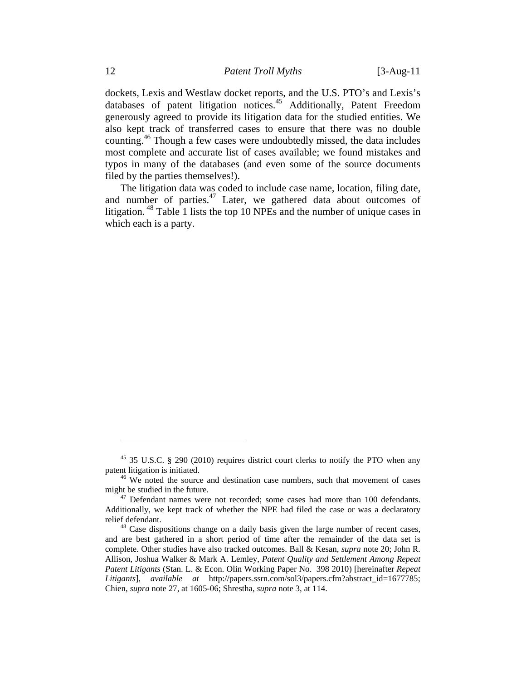dockets, Lexis and Westlaw docket reports, and the U.S. PTO's and Lexis's databases of patent litigation notices.45 Additionally, Patent Freedom generously agreed to provide its litigation data for the studied entities. We also kept track of transferred cases to ensure that there was no double counting.<sup>46</sup> Though a few cases were undoubtedly missed, the data includes most complete and accurate list of cases available; we found mistakes and typos in many of the databases (and even some of the source documents filed by the parties themselves!).

The litigation data was coded to include case name, location, filing date, and number of parties.<sup>47</sup> Later, we gathered data about outcomes of litigation. 48 Table 1 lists the top 10 NPEs and the number of unique cases in which each is a party.

<sup>45 35</sup> U.S.C. § 290 (2010) requires district court clerks to notify the PTO when any patent litigation is initiated.<br><sup>46</sup> We noted the source and destination case numbers, such that movement of cases

might be studied in the future.<br><sup>47</sup> Defendant names were not recorded; some cases had more than 100 defendants.

Additionally, we kept track of whether the NPE had filed the case or was a declaratory relief defendant.<br><sup>48</sup> Case dispositions change on a daily basis given the large number of recent cases,

and are best gathered in a short period of time after the remainder of the data set is complete. Other studies have also tracked outcomes. Ball & Kesan, *supra* note 20; John R. Allison, Joshua Walker & Mark A. Lemley, *Patent Quality and Settlement Among Repeat Patent Litigants* (Stan. L. & Econ. Olin Working Paper No. 398 2010) [hereinafter *Repeat Litigants*], *available at* http://papers.ssrn.com/sol3/papers.cfm?abstract\_id=1677785; Chien, *supra* note 27, at 1605-06; Shrestha, *supra* note 3, at 114.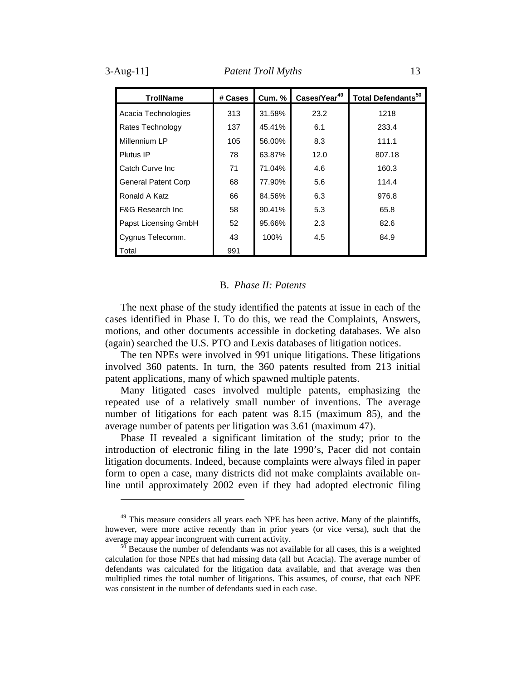| All9 |  |  |
|------|--|--|
|      |  |  |
|      |  |  |

| <b>TrollName</b>             | # Cases | <b>Cum. %</b> | Cases/Year <sup>49</sup> | Total Defendants <sup>50</sup> |
|------------------------------|---------|---------------|--------------------------|--------------------------------|
| Acacia Technologies          | 313     | 31.58%        | 23.2                     | 1218                           |
| Rates Technology             | 137     | 45.41%        | 6.1                      | 233.4                          |
| Millennium LP                | 105     | 56.00%        | 8.3                      | 111.1                          |
| Plutus IP                    | 78      | 63.87%        | 12.0                     | 807.18                         |
| Catch Curve Inc.             | 71      | 71.04%        | 4.6                      | 160.3                          |
| <b>General Patent Corp</b>   | 68      | 77.90%        | 5.6                      | 114.4                          |
| Ronald A Katz                | 66      | 84.56%        | 6.3                      | 976.8                          |
| <b>F&amp;G Research Inc.</b> | 58      | 90.41%        | 5.3                      | 65.8                           |
| Papst Licensing GmbH         | 52      | 95.66%        | 2.3                      | 82.6                           |
| Cygnus Telecomm.             | 43      | 100%          | 4.5                      | 84.9                           |
| Total                        | 991     |               |                          |                                |

#### B. *Phase II: Patents*

The next phase of the study identified the patents at issue in each of the cases identified in Phase I. To do this, we read the Complaints, Answers, motions, and other documents accessible in docketing databases. We also (again) searched the U.S. PTO and Lexis databases of litigation notices.

The ten NPEs were involved in 991 unique litigations. These litigations involved 360 patents. In turn, the 360 patents resulted from 213 initial patent applications, many of which spawned multiple patents.

Many litigated cases involved multiple patents, emphasizing the repeated use of a relatively small number of inventions. The average number of litigations for each patent was 8.15 (maximum 85), and the average number of patents per litigation was 3.61 (maximum 47).

Phase II revealed a significant limitation of the study; prior to the introduction of electronic filing in the late 1990's, Pacer did not contain litigation documents. Indeed, because complaints were always filed in paper form to open a case, many districts did not make complaints available online until approximately 2002 even if they had adopted electronic filing

<sup>&</sup>lt;sup>49</sup> This measure considers all years each NPE has been active. Many of the plaintiffs, however, were more active recently than in prior years (or vice versa), such that the average may appear incongruent with current activity.

 $\frac{50}{50}$  Because the number of defendants was not available for all cases, this is a weighted calculation for those NPEs that had missing data (all but Acacia). The average number of defendants was calculated for the litigation data available, and that average was then multiplied times the total number of litigations. This assumes, of course, that each NPE was consistent in the number of defendants sued in each case.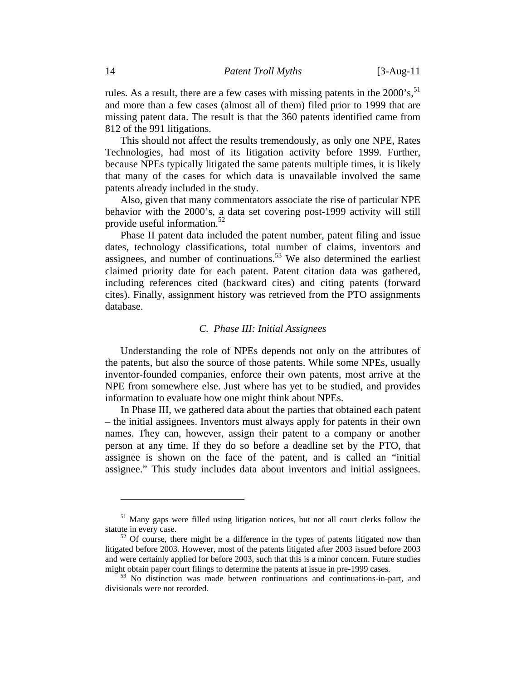rules. As a result, there are a few cases with missing patents in the  $2000$ 's,  $51$ and more than a few cases (almost all of them) filed prior to 1999 that are missing patent data. The result is that the 360 patents identified came from 812 of the 991 litigations.

This should not affect the results tremendously, as only one NPE, Rates Technologies, had most of its litigation activity before 1999. Further, because NPEs typically litigated the same patents multiple times, it is likely that many of the cases for which data is unavailable involved the same patents already included in the study.

Also, given that many commentators associate the rise of particular NPE behavior with the 2000's, a data set covering post-1999 activity will still provide useful information.<sup>52</sup>

Phase II patent data included the patent number, patent filing and issue dates, technology classifications, total number of claims, inventors and assignees, and number of continuations.<sup>53</sup> We also determined the earliest claimed priority date for each patent. Patent citation data was gathered, including references cited (backward cites) and citing patents (forward cites). Finally, assignment history was retrieved from the PTO assignments database.

#### *C. Phase III: Initial Assignees*

Understanding the role of NPEs depends not only on the attributes of the patents, but also the source of those patents. While some NPEs, usually inventor-founded companies, enforce their own patents, most arrive at the NPE from somewhere else. Just where has yet to be studied, and provides information to evaluate how one might think about NPEs.

In Phase III, we gathered data about the parties that obtained each patent – the initial assignees. Inventors must always apply for patents in their own names. They can, however, assign their patent to a company or another person at any time. If they do so before a deadline set by the PTO, that assignee is shown on the face of the patent, and is called an "initial assignee." This study includes data about inventors and initial assignees.

 $<sup>51</sup>$  Many gaps were filled using litigation notices, but not all court clerks follow the statute in every case.</sup>

 $52$  Of course, there might be a difference in the types of patents litigated now than litigated before 2003. However, most of the patents litigated after 2003 issued before 2003 and were certainly applied for before 2003, such that this is a minor concern. Future studies might obtain paper court filings to determine the patents at issue in pre-1999 cases.

 $53$  No distinction was made between continuations and continuations-in-part, and divisionals were not recorded.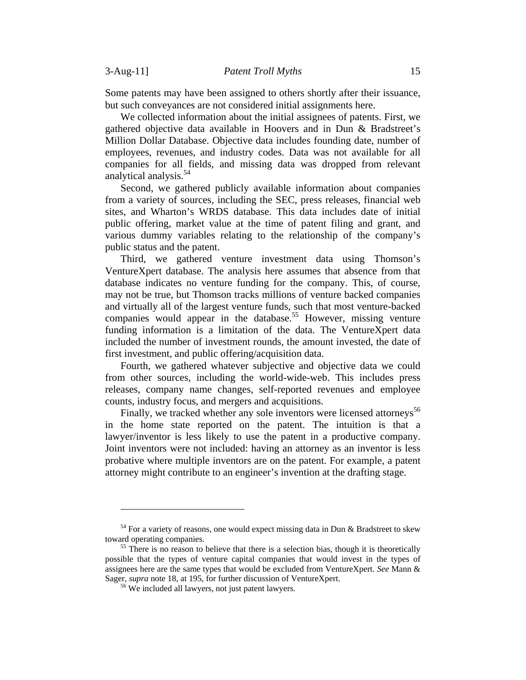Some patents may have been assigned to others shortly after their issuance, but such conveyances are not considered initial assignments here.

We collected information about the initial assignees of patents. First, we gathered objective data available in Hoovers and in Dun & Bradstreet's Million Dollar Database. Objective data includes founding date, number of employees, revenues, and industry codes. Data was not available for all companies for all fields, and missing data was dropped from relevant analytical analysis.<sup>54</sup>

Second, we gathered publicly available information about companies from a variety of sources, including the SEC, press releases, financial web sites, and Wharton's WRDS database. This data includes date of initial public offering, market value at the time of patent filing and grant, and various dummy variables relating to the relationship of the company's public status and the patent.

Third, we gathered venture investment data using Thomson's VentureXpert database. The analysis here assumes that absence from that database indicates no venture funding for the company. This, of course, may not be true, but Thomson tracks millions of venture backed companies and virtually all of the largest venture funds, such that most venture-backed companies would appear in the database.<sup>55</sup> However, missing venture funding information is a limitation of the data. The VentureXpert data included the number of investment rounds, the amount invested, the date of first investment, and public offering/acquisition data.

Fourth, we gathered whatever subjective and objective data we could from other sources, including the world-wide-web. This includes press releases, company name changes, self-reported revenues and employee counts, industry focus, and mergers and acquisitions.

Finally, we tracked whether any sole inventors were licensed attorneys<sup>56</sup> in the home state reported on the patent. The intuition is that a lawyer/inventor is less likely to use the patent in a productive company. Joint inventors were not included: having an attorney as an inventor is less probative where multiple inventors are on the patent. For example, a patent attorney might contribute to an engineer's invention at the drafting stage.

 $54$  For a variety of reasons, one would expect missing data in Dun & Bradstreet to skew toward operating companies.

 $\frac{55}{25}$  There is no reason to believe that there is a selection bias, though it is theoretically possible that the types of venture capital companies that would invest in the types of assignees here are the same types that would be excluded from VentureXpert. *See* Mann & Sager, *supra* note 18, at 195, for further discussion of VentureXpert. <sup>56</sup> We included all lawyers, not just patent lawyers.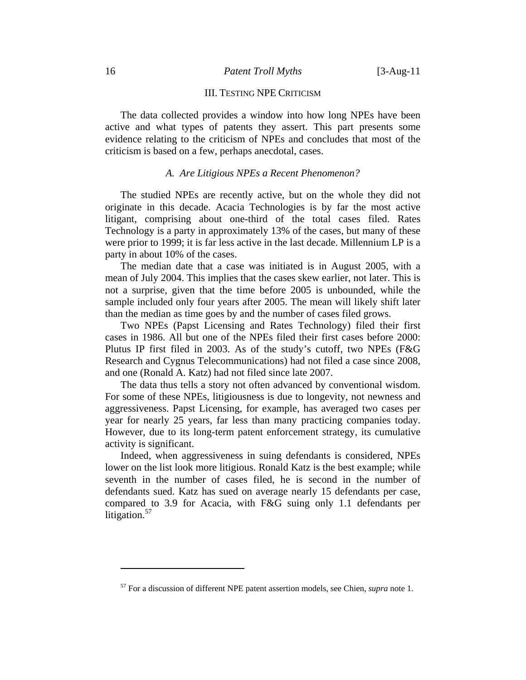### 16 *Patent Troll Myths* [3-Aug-11

#### III. TESTING NPE CRITICISM

The data collected provides a window into how long NPEs have been active and what types of patents they assert. This part presents some evidence relating to the criticism of NPEs and concludes that most of the criticism is based on a few, perhaps anecdotal, cases.

# *A. Are Litigious NPEs a Recent Phenomenon?*

The studied NPEs are recently active, but on the whole they did not originate in this decade. Acacia Technologies is by far the most active litigant, comprising about one-third of the total cases filed. Rates Technology is a party in approximately 13% of the cases, but many of these were prior to 1999; it is far less active in the last decade. Millennium LP is a party in about 10% of the cases.

The median date that a case was initiated is in August 2005, with a mean of July 2004. This implies that the cases skew earlier, not later. This is not a surprise, given that the time before 2005 is unbounded, while the sample included only four years after 2005. The mean will likely shift later than the median as time goes by and the number of cases filed grows.

Two NPEs (Papst Licensing and Rates Technology) filed their first cases in 1986. All but one of the NPEs filed their first cases before 2000: Plutus IP first filed in 2003. As of the study's cutoff, two NPEs (F&G Research and Cygnus Telecommunications) had not filed a case since 2008, and one (Ronald A. Katz) had not filed since late 2007.

The data thus tells a story not often advanced by conventional wisdom. For some of these NPEs, litigiousness is due to longevity, not newness and aggressiveness. Papst Licensing, for example, has averaged two cases per year for nearly 25 years, far less than many practicing companies today. However, due to its long-term patent enforcement strategy, its cumulative activity is significant.

Indeed, when aggressiveness in suing defendants is considered, NPEs lower on the list look more litigious. Ronald Katz is the best example; while seventh in the number of cases filed, he is second in the number of defendants sued. Katz has sued on average nearly 15 defendants per case, compared to 3.9 for Acacia, with F&G suing only 1.1 defendants per litigation. $57$ 

<sup>57</sup> For a discussion of different NPE patent assertion models, see Chien, *supra* note 1.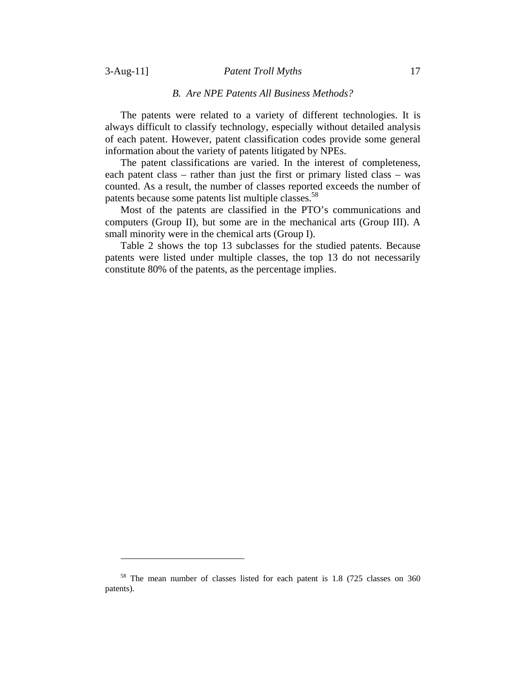# 3-Aug-11] *Patent Troll Myths* 17

# *B. Are NPE Patents All Business Methods?*

The patents were related to a variety of different technologies. It is always difficult to classify technology, especially without detailed analysis of each patent. However, patent classification codes provide some general information about the variety of patents litigated by NPEs.

The patent classifications are varied. In the interest of completeness, each patent class – rather than just the first or primary listed class – was counted. As a result, the number of classes reported exceeds the number of patents because some patents list multiple classes.<sup>58</sup>

Most of the patents are classified in the PTO's communications and computers (Group II), but some are in the mechanical arts (Group III). A small minority were in the chemical arts (Group I).

Table 2 shows the top 13 subclasses for the studied patents. Because patents were listed under multiple classes, the top 13 do not necessarily constitute 80% of the patents, as the percentage implies.

<sup>58</sup> The mean number of classes listed for each patent is 1.8 (725 classes on 360 patents).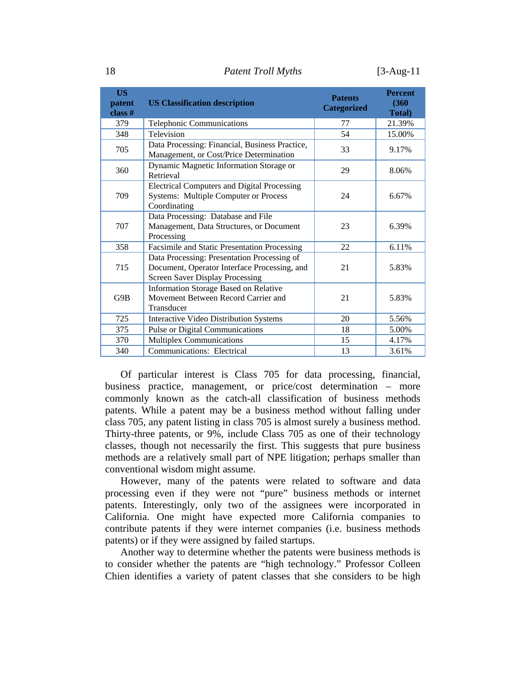18 *Patent Troll Myths* [3-Aug-11

| <b>US</b><br>patent<br>class # | <b>US Classification description</b>                                                                                                  | <b>Patents</b><br><b>Categorized</b> | <b>Percent</b><br>(360)<br><b>Total</b> ) |
|--------------------------------|---------------------------------------------------------------------------------------------------------------------------------------|--------------------------------------|-------------------------------------------|
| 379                            | Telephonic Communications                                                                                                             | 77                                   | 21.39%                                    |
| 348                            | Television                                                                                                                            | 54                                   | 15.00%                                    |
| 705                            | Data Processing: Financial, Business Practice,<br>Management, or Cost/Price Determination                                             | 33                                   | 9.17%                                     |
| 360                            | Dynamic Magnetic Information Storage or<br>Retrieval                                                                                  | 29                                   | 8.06%                                     |
| 709                            | <b>Electrical Computers and Digital Processing</b><br><b>Systems: Multiple Computer or Process</b><br>Coordinating                    | 24                                   | 6.67%                                     |
| 707                            | Data Processing: Database and File<br>Management, Data Structures, or Document<br>Processing                                          | 23                                   | 6.39%                                     |
| 358                            | Facsimile and Static Presentation Processing                                                                                          | 22                                   | 6.11%                                     |
| 715                            | Data Processing: Presentation Processing of<br>Document, Operator Interface Processing, and<br><b>Screen Saver Display Processing</b> | 21                                   | 5.83%                                     |
| G9B                            | <b>Information Storage Based on Relative</b><br>Movement Between Record Carrier and<br>Transducer                                     | 21                                   | 5.83%                                     |
| 725                            | <b>Interactive Video Distribution Systems</b>                                                                                         | 20                                   | 5.56%                                     |
| 375                            | Pulse or Digital Communications                                                                                                       | 18                                   | 5.00%                                     |
| 370                            | Multiplex Communications                                                                                                              | 15                                   | 4.17%                                     |
| 340                            | Communications: Electrical                                                                                                            | 13                                   | 3.61%                                     |

Of particular interest is Class 705 for data processing, financial, business practice, management, or price/cost determination – more commonly known as the catch-all classification of business methods patents. While a patent may be a business method without falling under class 705, any patent listing in class 705 is almost surely a business method. Thirty-three patents, or 9%, include Class 705 as one of their technology classes, though not necessarily the first. This suggests that pure business methods are a relatively small part of NPE litigation; perhaps smaller than conventional wisdom might assume.

However, many of the patents were related to software and data processing even if they were not "pure" business methods or internet patents. Interestingly, only two of the assignees were incorporated in California. One might have expected more California companies to contribute patents if they were internet companies (i.e. business methods patents) or if they were assigned by failed startups.

Another way to determine whether the patents were business methods is to consider whether the patents are "high technology." Professor Colleen Chien identifies a variety of patent classes that she considers to be high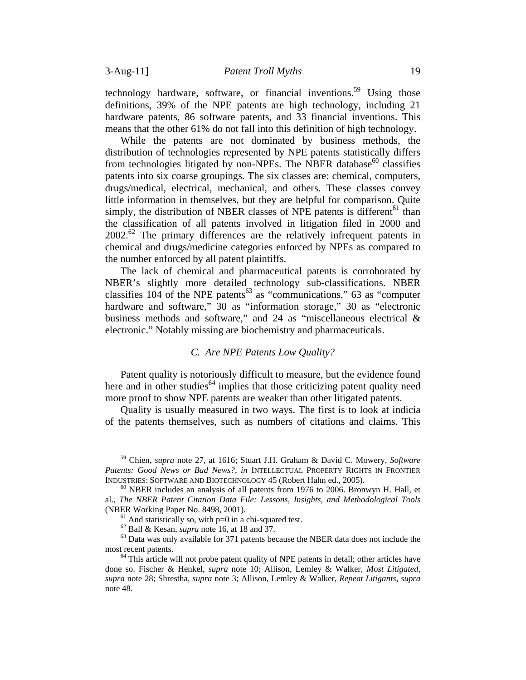technology hardware, software, or financial inventions.<sup>59</sup> Using those definitions, 39% of the NPE patents are high technology, including 21 hardware patents, 86 software patents, and 33 financial inventions. This means that the other 61% do not fall into this definition of high technology.

While the patents are not dominated by business methods, the distribution of technologies represented by NPE patents statistically differs from technologies litigated by non-NPEs. The NBER database $^{60}$  classifies patents into six coarse groupings. The six classes are: chemical, computers, drugs/medical, electrical, mechanical, and others. These classes convey little information in themselves, but they are helpful for comparison. Quite simply, the distribution of NBER classes of NPE patents is different<sup>61</sup> than the classification of all patents involved in litigation filed in 2000 and  $2002<sup>62</sup>$  The primary differences are the relatively infrequent patents in chemical and drugs/medicine categories enforced by NPEs as compared to the number enforced by all patent plaintiffs.

The lack of chemical and pharmaceutical patents is corroborated by NBER's slightly more detailed technology sub-classifications. NBER classifies  $104$  of the NPE patents<sup>63</sup> as "communications," 63 as "computer hardware and software," 30 as "information storage," 30 as "electronic business methods and software," and 24 as "miscellaneous electrical & electronic." Notably missing are biochemistry and pharmaceuticals.

# *C. Are NPE Patents Low Quality?*

Patent quality is notoriously difficult to measure, but the evidence found here and in other studies<sup> $64$ </sup> implies that those criticizing patent quality need more proof to show NPE patents are weaker than other litigated patents.

Quality is usually measured in two ways. The first is to look at indicia of the patents themselves, such as numbers of citations and claims. This

<sup>59</sup> Chien, *supra* note 27, at 1616; Stuart J.H. Graham & David C. Mowery*, Software Patents: Good News or Bad News?*, *in* INTELLECTUAL PROPERTY RIGHTS IN FRONTIER INDUSTRIES: SOFTWARE AND BIOTECHNOLOGY 45 (Robert Hahn ed., 2005). 60 NBER includes an analysis of all patents from 1976 to 2006. Bronwyn H. Hall, et

al., *The NBER Patent Citation Data File: Lessons, Insights, and Methodological Tools*

<sup>&</sup>lt;sup>61</sup> And statistically so, with p=0 in a chi-squared test.<br><sup>62</sup> Ball & Kesan, *supra* note 16, at 18 and 37.

<sup>&</sup>lt;sup>63</sup> Data was only available for 371 patents because the NBER data does not include the most recent patents.

 $<sup>64</sup>$  This article will not probe patent quality of NPE patents in detail; other articles have</sup> done so. Fischer & Henkel, *supra* note 10; Allison, Lemley & Walker, *Most Litigated*, *supra* note 28; Shrestha, *supra* note 3; Allison, Lemley & Walker, *Repeat Litigants*, *supra* note 48.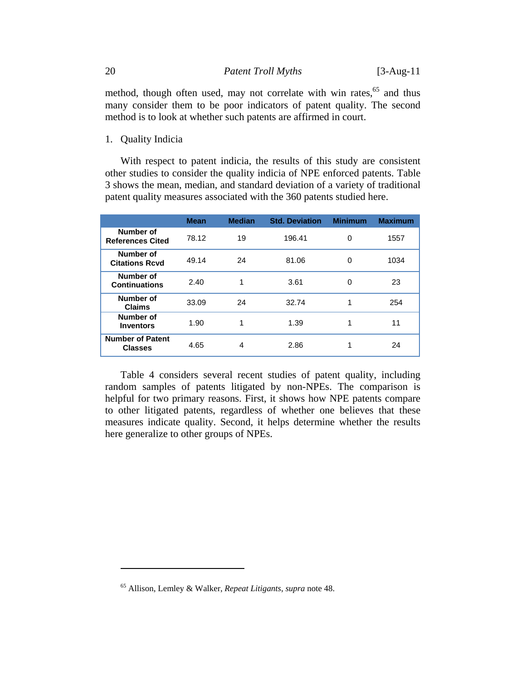method, though often used, may not correlate with win rates, $65$  and thus many consider them to be poor indicators of patent quality. The second method is to look at whether such patents are affirmed in court.

1. Quality Indicia

 $\overline{a}$ 

With respect to patent indicia, the results of this study are consistent other studies to consider the quality indicia of NPE enforced patents. Table 3 shows the mean, median, and standard deviation of a variety of traditional patent quality measures associated with the 360 patents studied here.

|                                           | <b>Mean</b> | <b>Median</b> | <b>Std. Deviation</b> | <b>Minimum</b> | <b>Maximum</b> |
|-------------------------------------------|-------------|---------------|-----------------------|----------------|----------------|
| Number of<br><b>References Cited</b>      | 78.12       | 19            | 196.41                | 0              | 1557           |
| Number of<br><b>Citations Rcvd</b>        | 49.14       | 24            | 81.06                 | 0              | 1034           |
| Number of<br><b>Continuations</b>         | 2.40        |               | 3.61                  | 0              | 23             |
| Number of<br><b>Claims</b>                | 33.09       | 24            | 32.74                 | 1              | 254            |
| Number of<br><b>Inventors</b>             | 1.90        |               | 1.39                  |                | 11             |
| <b>Number of Patent</b><br><b>Classes</b> | 4.65        | 4             | 2.86                  |                | 24             |

Table 4 considers several recent studies of patent quality, including random samples of patents litigated by non-NPEs. The comparison is helpful for two primary reasons. First, it shows how NPE patents compare to other litigated patents, regardless of whether one believes that these measures indicate quality. Second, it helps determine whether the results here generalize to other groups of NPEs.

<sup>65</sup> Allison, Lemley & Walker, *Repeat Litigants*, *supra* note 48.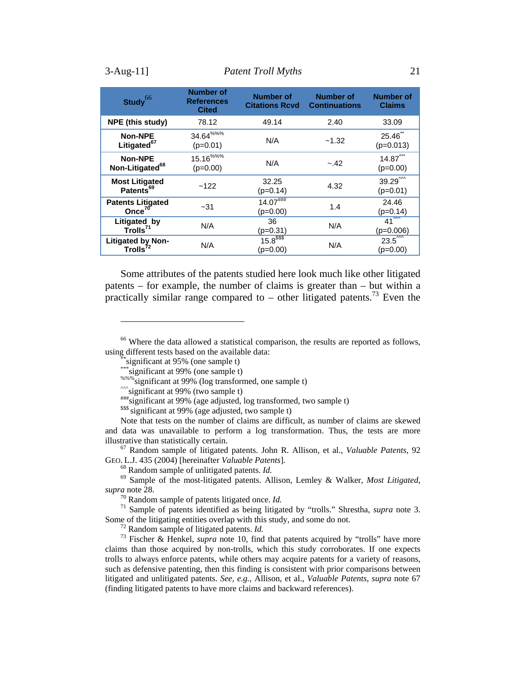| Study <sup>66</sup>                            | <b>Number of</b><br><b>References</b><br><b>Cited</b> | <b>Number of</b><br><b>Citations Rcvd</b> | <b>Number of</b><br><b>Continuations</b> | <b>Number of</b><br><b>Claims</b>          |  |
|------------------------------------------------|-------------------------------------------------------|-------------------------------------------|------------------------------------------|--------------------------------------------|--|
| <b>NPE (this study)</b>                        | 78.12                                                 | 49.14                                     | 2.40                                     | 33.09                                      |  |
| Non-NPE<br>Litigated <sup>67</sup>             | $34.64^{\%%}$<br>$(p=0.01)$                           | N/A                                       | ~1.32                                    | $25.46$ **<br>$(p=0.013)$                  |  |
| <b>Non-NPE</b><br>Non-Litigated <sup>68</sup>  | $15.16^{\%%}$<br>$(p=0.00)$                           | N/A                                       | $-.42$                                   | $14.87***$<br>$(p=0.00)$                   |  |
| <b>Most Litigated</b><br>Patents <sup>69</sup> | ~122                                                  | 32.25<br>$(p=0.14)$                       | 4.32                                     | $39.29^{\prime\prime\prime}$<br>$(p=0.01)$ |  |
| <b>Patents Litigated</b><br>Once $70$          | $-31$                                                 | $14.07$ ###<br>$(p=0.00)$                 | 1.4                                      | 24.46<br>$(p=0.14)$                        |  |
| Litigated by<br>Trolls <sup>71</sup>           | N/A                                                   | 36<br>$(p=0.31)$                          | N/A                                      | $41^{\circ\circ}$<br>(p=0.006)             |  |
| Litigated by Non-<br>Trolls <sup>72</sup>      | N/A                                                   | $15.8$ <sup>\$\$\$</sup><br>$(p=0.00)$    | N/A                                      | $23.5^{1/11}$<br>$(p=0.00)$                |  |

Some attributes of the patents studied here look much like other litigated patents – for example, the number of claims is greater than – but within a practically similar range compared to – other litigated patents.<sup>73</sup> Even the

<sup>&</sup>lt;sup>66</sup> Where the data allowed a statistical comparison, the results are reported as follows, using different tests based on the available data:<br>
\*\*\* significant at 95% (one sample t)<br>
\*\*\* significant at 99% (one sample t)

<sup>&</sup>lt;sup>%%%</sup>significant at 99% (log transformed, one sample t)<br>  $\hat{m}^*$ significant at 99% (two sample t)<br>  $\hat{m}^*$  significant at 99% (age adjusted, log transformed, two sample t)

<sup>&</sup>lt;sup>\$\$\$\$</sup> significant at 99% (age adjusted, two sample t)

Note that tests on the number of claims are difficult, as number of claims are skewed and data was unavailable to perform a log transformation. Thus, the tests are more

illustrative than statistically certain.<br><sup>67</sup> Random sample of litigated patents. John R. Allison, et al., *Valuable Patents*, 92<br>GEO. L.J. 435 (2004) [hereinafter *Valuable Patents*].

<sup>&</sup>lt;sup>68</sup> Random sample of unlitigated patents. *Id.* 69 Sample of the most-litigated patents. Allison, Lemley & Walker, *Most Litigated*, *supra* note 28.<br><sup>70</sup> Random sample of patents litigated once. *Id.* 

<sup>&</sup>lt;sup>71</sup> Sample of patents identified as being litigated by "trolls." Shrestha, *supra* note 3. Some of the litigating entities overlap with this study, and some do not.

<sup>&</sup>lt;sup>72</sup> Random sample of litigated patents. *Id.*  $\frac{73}{73}$  Fischer & Henkel, *supra* note 10, find that patents acquired by "trolls" have more claims than those acquired by non-trolls, which this study corroborates. If one expects trolls to always enforce patents, while others may acquire patents for a variety of reasons, such as defensive patenting, then this finding is consistent with prior comparisons between litigated and unlitigated patents. *See, e.g.,* Allison, et al., *Valuable Patents*, *supra* note 67 (finding litigated patents to have more claims and backward references).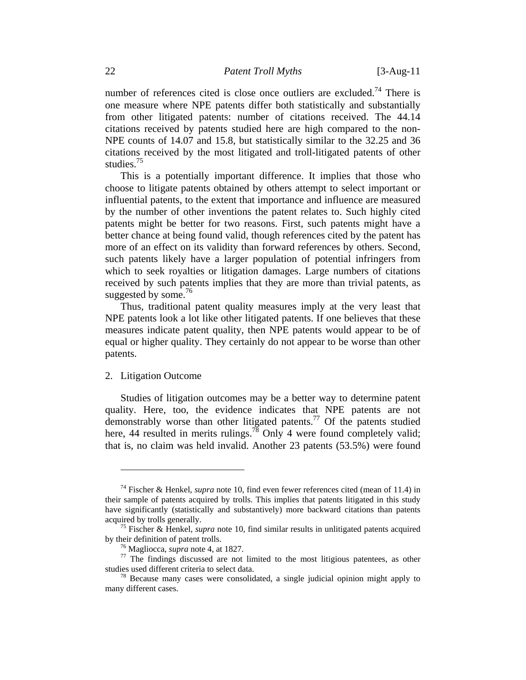number of references cited is close once outliers are excluded.<sup>74</sup> There is one measure where NPE patents differ both statistically and substantially from other litigated patents: number of citations received. The 44.14 citations received by patents studied here are high compared to the non-NPE counts of 14.07 and 15.8, but statistically similar to the 32.25 and 36 citations received by the most litigated and troll-litigated patents of other studies.<sup>75</sup>

This is a potentially important difference. It implies that those who choose to litigate patents obtained by others attempt to select important or influential patents, to the extent that importance and influence are measured by the number of other inventions the patent relates to. Such highly cited patents might be better for two reasons. First, such patents might have a better chance at being found valid, though references cited by the patent has more of an effect on its validity than forward references by others. Second, such patents likely have a larger population of potential infringers from which to seek royalties or litigation damages. Large numbers of citations received by such patents implies that they are more than trivial patents, as suggested by some. $76$ 

Thus, traditional patent quality measures imply at the very least that NPE patents look a lot like other litigated patents. If one believes that these measures indicate patent quality, then NPE patents would appear to be of equal or higher quality. They certainly do not appear to be worse than other patents.

#### 2. Litigation Outcome

 $\overline{a}$ 

Studies of litigation outcomes may be a better way to determine patent quality. Here, too, the evidence indicates that NPE patents are not demonstrably worse than other litigated patents.77 Of the patents studied here, 44 resulted in merits rulings.<sup>78</sup> Only 4 were found completely valid; that is, no claim was held invalid. Another 23 patents (53.5%) were found

<sup>74</sup> Fischer & Henkel, *supra* note 10, find even fewer references cited (mean of 11.4) in their sample of patents acquired by trolls. This implies that patents litigated in this study have significantly (statistically and substantively) more backward citations than patents

acquired by trolls generally.<br><sup>75</sup> Fischer & Henkel, *supra* note 10, find similar results in unlitigated patents acquired<br>by their definition of patent trolls.

<sup>&</sup>lt;sup>76</sup> Magliocca, *supra* note 4, at 1827.<br><sup>77</sup> The findings discussed are not limited to the most litigious patentees, as other studies used different criteria to select data.

 $\frac{78}{8}$  Because many cases were consolidated, a single judicial opinion might apply to many different cases.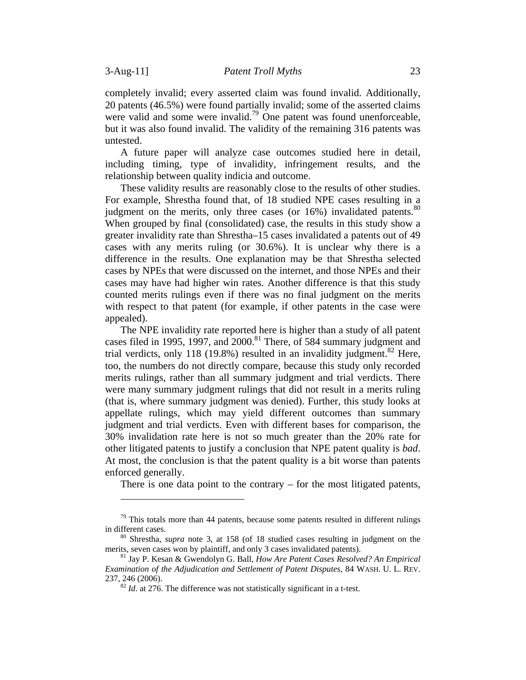completely invalid; every asserted claim was found invalid. Additionally, 20 patents (46.5%) were found partially invalid; some of the asserted claims were valid and some were invalid.<sup>79</sup> One patent was found unenforceable, but it was also found invalid. The validity of the remaining 316 patents was untested.

A future paper will analyze case outcomes studied here in detail, including timing, type of invalidity, infringement results, and the relationship between quality indicia and outcome.

These validity results are reasonably close to the results of other studies. For example, Shrestha found that, of 18 studied NPE cases resulting in a judgment on the merits, only three cases (or  $16\%$ ) invalidated patents.<sup>80</sup> When grouped by final (consolidated) case, the results in this study show a greater invalidity rate than Shrestha–15 cases invalidated a patents out of 49 cases with any merits ruling (or 30.6%). It is unclear why there is a difference in the results. One explanation may be that Shrestha selected cases by NPEs that were discussed on the internet, and those NPEs and their cases may have had higher win rates. Another difference is that this study counted merits rulings even if there was no final judgment on the merits with respect to that patent (for example, if other patents in the case were appealed).

The NPE invalidity rate reported here is higher than a study of all patent cases filed in 1995, 1997, and  $2000$ <sup>81</sup> There, of 584 summary judgment and trial verdicts, only 118 (19.8%) resulted in an invalidity judgment. $82$  Here, too, the numbers do not directly compare, because this study only recorded merits rulings, rather than all summary judgment and trial verdicts. There were many summary judgment rulings that did not result in a merits ruling (that is, where summary judgment was denied). Further, this study looks at appellate rulings, which may yield different outcomes than summary judgment and trial verdicts. Even with different bases for comparison, the 30% invalidation rate here is not so much greater than the 20% rate for other litigated patents to justify a conclusion that NPE patent quality is *bad*. At most, the conclusion is that the patent quality is a bit worse than patents enforced generally.

There is one data point to the contrary – for the most litigated patents,

 $79$  This totals more than 44 patents, because some patents resulted in different rulings in different cases. 80 Shrestha, *supra* note 3, at 158 (of 18 studied cases resulting in judgment on the

merits, seven cases won by plaintiff, and only 3 cases invalidated patents). 81 Jay P. Kesan & Gwendolyn G. Ball, *How Are Patent Cases Resolved? An Empirical* 

*Examination of the Adjudication and Settlement of Patent Disputes*, 84 WASH. U. L. REV. 237, 246 (2006).<br><sup>82</sup> *Id.* at 276. The difference was not statistically significant in a t-test.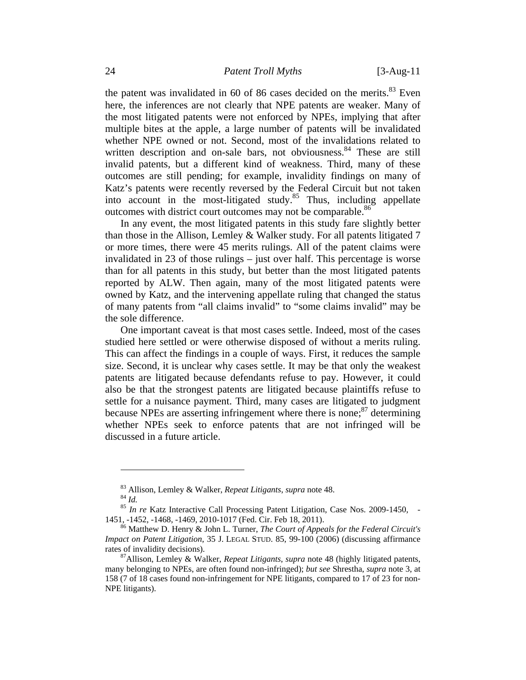the patent was invalidated in 60 of 86 cases decided on the merits. $83$  Even here, the inferences are not clearly that NPE patents are weaker. Many of the most litigated patents were not enforced by NPEs, implying that after multiple bites at the apple, a large number of patents will be invalidated whether NPE owned or not. Second, most of the invalidations related to written description and on-sale bars, not obviousness. <sup>84</sup> These are still invalid patents, but a different kind of weakness. Third, many of these outcomes are still pending; for example, invalidity findings on many of Katz's patents were recently reversed by the Federal Circuit but not taken into account in the most-litigated study.<sup>85</sup> Thus, including appellate outcomes with district court outcomes may not be comparable.<sup>86</sup>

In any event, the most litigated patents in this study fare slightly better than those in the Allison, Lemley & Walker study. For all patents litigated 7 or more times, there were 45 merits rulings. All of the patent claims were invalidated in 23 of those rulings – just over half. This percentage is worse than for all patents in this study, but better than the most litigated patents reported by ALW. Then again, many of the most litigated patents were owned by Katz, and the intervening appellate ruling that changed the status of many patents from "all claims invalid" to "some claims invalid" may be the sole difference.

One important caveat is that most cases settle. Indeed, most of the cases studied here settled or were otherwise disposed of without a merits ruling. This can affect the findings in a couple of ways. First, it reduces the sample size. Second, it is unclear why cases settle. It may be that only the weakest patents are litigated because defendants refuse to pay. However, it could also be that the strongest patents are litigated because plaintiffs refuse to settle for a nuisance payment. Third, many cases are litigated to judgment because NPEs are asserting infringement where there is none; $^{87}$  determining whether NPEs seek to enforce patents that are not infringed will be discussed in a future article.

<sup>&</sup>lt;sup>83</sup> Allison, Lemley & Walker, *Repeat Litigants*, *supra* note 48.<br><sup>84</sup> *Id. In re* Katz Interactive Call Processing Patent Litigation, Case Nos. 2009-1450, -

<sup>1451, -1452, -1468, -1469, 2010-1017 (</sup>Fed. Cir. Feb 18, 2011). 86 Matthew D. Henry & John L. Turner, *The Court of Appeals for the Federal Circuit's* 

*Impact on Patent Litigation*, 35 J. LEGAL STUD. 85, 99-100 (2006) (discussing affirmance rates of invalidity decisions).<br><sup>87</sup>Allison, Lemley & Walker, *Repeat Litigants, supra* note 48 (highly litigated patents,

many belonging to NPEs, are often found non-infringed); *but see* Shrestha, *supra* note 3, at 158 (7 of 18 cases found non-infringement for NPE litigants, compared to 17 of 23 for non-NPE litigants).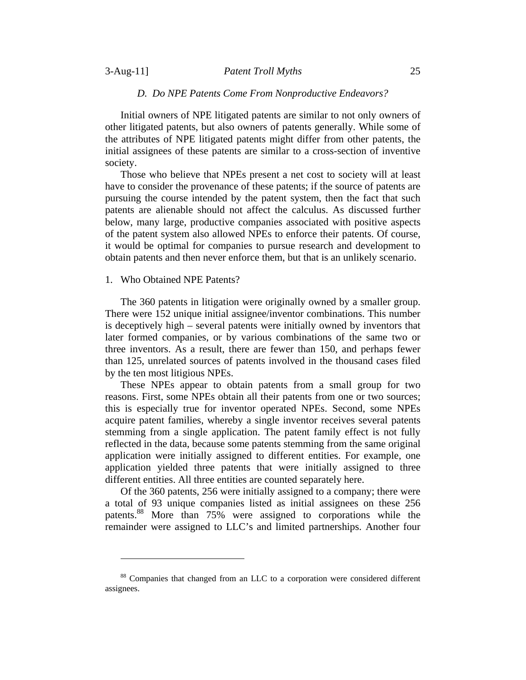## 3-Aug-11] *Patent Troll Myths* 25

# *D. Do NPE Patents Come From Nonproductive Endeavors?*

Initial owners of NPE litigated patents are similar to not only owners of other litigated patents, but also owners of patents generally. While some of the attributes of NPE litigated patents might differ from other patents, the initial assignees of these patents are similar to a cross-section of inventive society.

Those who believe that NPEs present a net cost to society will at least have to consider the provenance of these patents; if the source of patents are pursuing the course intended by the patent system, then the fact that such patents are alienable should not affect the calculus. As discussed further below, many large, productive companies associated with positive aspects of the patent system also allowed NPEs to enforce their patents. Of course, it would be optimal for companies to pursue research and development to obtain patents and then never enforce them, but that is an unlikely scenario.

### 1. Who Obtained NPE Patents?

The 360 patents in litigation were originally owned by a smaller group. There were 152 unique initial assignee/inventor combinations. This number is deceptively high – several patents were initially owned by inventors that later formed companies, or by various combinations of the same two or three inventors. As a result, there are fewer than 150, and perhaps fewer than 125, unrelated sources of patents involved in the thousand cases filed by the ten most litigious NPEs.

These NPEs appear to obtain patents from a small group for two reasons. First, some NPEs obtain all their patents from one or two sources; this is especially true for inventor operated NPEs. Second, some NPEs acquire patent families, whereby a single inventor receives several patents stemming from a single application. The patent family effect is not fully reflected in the data, because some patents stemming from the same original application were initially assigned to different entities. For example, one application yielded three patents that were initially assigned to three different entities. All three entities are counted separately here.

Of the 360 patents, 256 were initially assigned to a company; there were a total of 93 unique companies listed as initial assignees on these 256 patents.88 More than 75% were assigned to corporations while the remainder were assigned to LLC's and limited partnerships. Another four

<sup>88</sup> Companies that changed from an LLC to a corporation were considered different assignees.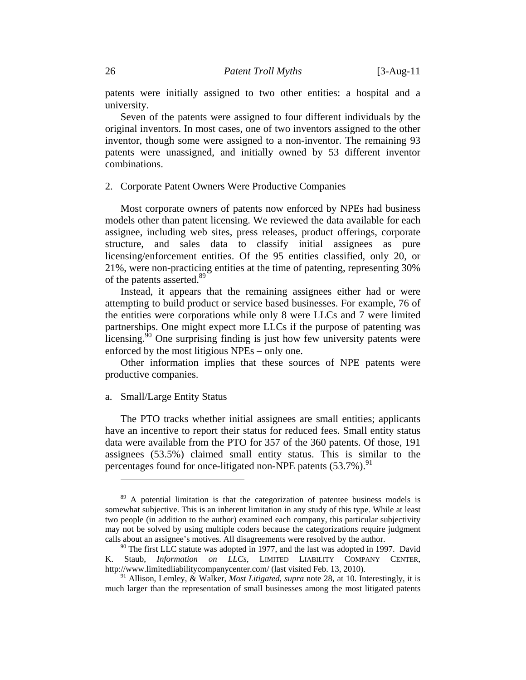patents were initially assigned to two other entities: a hospital and a university.

Seven of the patents were assigned to four different individuals by the original inventors. In most cases, one of two inventors assigned to the other inventor, though some were assigned to a non-inventor. The remaining 93 patents were unassigned, and initially owned by 53 different inventor combinations.

# 2. Corporate Patent Owners Were Productive Companies

Most corporate owners of patents now enforced by NPEs had business models other than patent licensing. We reviewed the data available for each assignee, including web sites, press releases, product offerings, corporate structure, and sales data to classify initial assignees as pure licensing/enforcement entities. Of the 95 entities classified, only 20, or 21%, were non-practicing entities at the time of patenting, representing 30% of the patents asserted.<sup>89</sup>

Instead, it appears that the remaining assignees either had or were attempting to build product or service based businesses. For example, 76 of the entities were corporations while only 8 were LLCs and 7 were limited partnerships. One might expect more LLCs if the purpose of patenting was licensing. $90$  One surprising finding is just how few university patents were enforced by the most litigious NPEs – only one.

Other information implies that these sources of NPE patents were productive companies.

# a. Small/Large Entity Status

 $\overline{a}$ 

The PTO tracks whether initial assignees are small entities; applicants have an incentive to report their status for reduced fees. Small entity status data were available from the PTO for 357 of the 360 patents. Of those, 191 assignees (53.5%) claimed small entity status. This is similar to the percentages found for once-litigated non-NPE patents  $(53.7\%)$ .

<sup>&</sup>lt;sup>89</sup> A potential limitation is that the categorization of patentee business models is somewhat subjective. This is an inherent limitation in any study of this type. While at least two people (in addition to the author) examined each company, this particular subjectivity may not be solved by using multiple coders because the categorizations require judgment calls about an assignee's motives. All disagreements were resolved by the author.

 $90$  The first LLC statute was adopted in 1977, and the last was adopted in 1997. David K. Staub, *Information on LLCs*, LIMITED LIABILITY COMPANY CENTER, http://www.limitedliabilitycompanycenter.com/ (last visited Feb. 13, 2010).

<sup>91</sup> Allison, Lemley, & Walker, *Most Litigated*, *supra* note 28, at 10. Interestingly, it is much larger than the representation of small businesses among the most litigated patents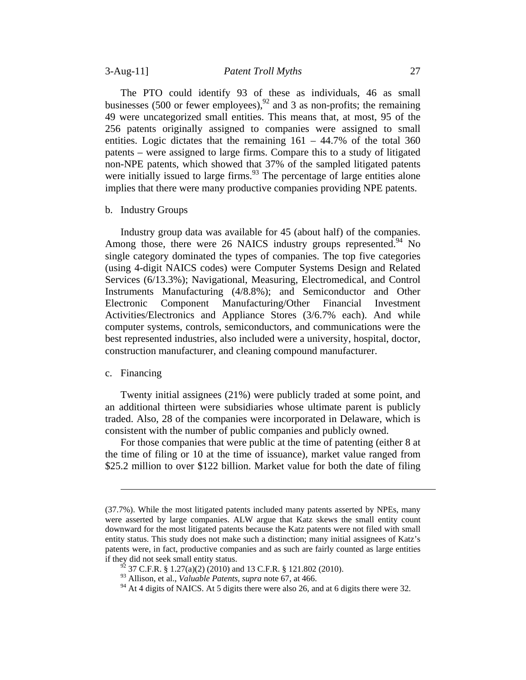The PTO could identify 93 of these as individuals, 46 as small businesses (500 or fewer employees),  $^{92}$  and 3 as non-profits; the remaining 49 were uncategorized small entities. This means that, at most, 95 of the 256 patents originally assigned to companies were assigned to small entities. Logic dictates that the remaining  $161 - 44.7\%$  of the total 360 patents – were assigned to large firms. Compare this to a study of litigated non-NPE patents, which showed that 37% of the sampled litigated patents were initially issued to large firms.<sup>93</sup> The percentage of large entities alone implies that there were many productive companies providing NPE patents.

b. Industry Groups

Industry group data was available for 45 (about half) of the companies. Among those, there were 26 NAICS industry groups represented. No single category dominated the types of companies. The top five categories (using 4-digit NAICS codes) were Computer Systems Design and Related Services (6/13.3%); Navigational, Measuring, Electromedical, and Control Instruments Manufacturing (4/8.8%); and Semiconductor and Other Electronic Component Manufacturing/Other Financial Investment Activities/Electronics and Appliance Stores (3/6.7% each). And while computer systems, controls, semiconductors, and communications were the best represented industries, also included were a university, hospital, doctor, construction manufacturer, and cleaning compound manufacturer.

# c. Financing

 $\overline{a}$ 

Twenty initial assignees (21%) were publicly traded at some point, and an additional thirteen were subsidiaries whose ultimate parent is publicly traded. Also, 28 of the companies were incorporated in Delaware, which is consistent with the number of public companies and publicly owned.

For those companies that were public at the time of patenting (either 8 at the time of filing or 10 at the time of issuance), market value ranged from \$25.2 million to over \$122 billion. Market value for both the date of filing

<sup>(37.7%).</sup> While the most litigated patents included many patents asserted by NPEs, many were asserted by large companies. ALW argue that Katz skews the small entity count downward for the most litigated patents because the Katz patents were not filed with small entity status. This study does not make such a distinction; many initial assignees of Katz's patents were, in fact, productive companies and as such are fairly counted as large entities if they did not seek small entity status.

 $^{92}$  37 C.F.R. § 1.27(a)(2) (2010) and 13 C.F.R. § 121.802 (2010).

<sup>93</sup> Allison, et al., *Valuable Patents*, *supra* note 67, at 466.

 $94$  At 4 digits of NAICS. At 5 digits there were also 26, and at 6 digits there were 32.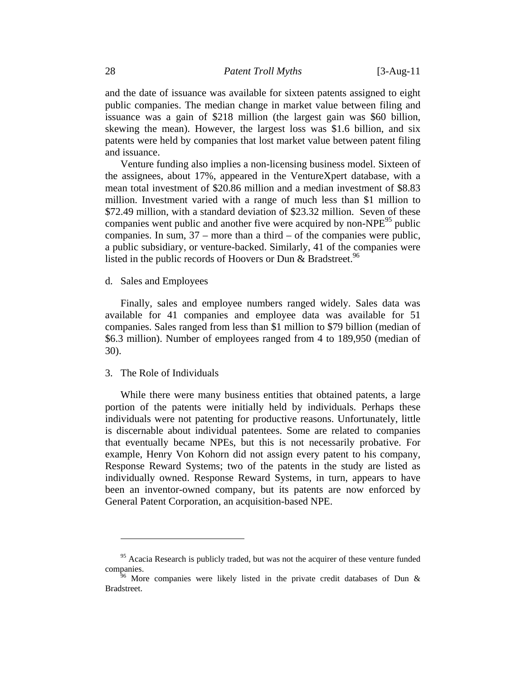and the date of issuance was available for sixteen patents assigned to eight public companies. The median change in market value between filing and issuance was a gain of \$218 million (the largest gain was \$60 billion, skewing the mean). However, the largest loss was \$1.6 billion, and six patents were held by companies that lost market value between patent filing and issuance.

Venture funding also implies a non-licensing business model. Sixteen of the assignees, about 17%, appeared in the VentureXpert database, with a mean total investment of \$20.86 million and a median investment of \$8.83 million. Investment varied with a range of much less than \$1 million to \$72.49 million, with a standard deviation of \$23.32 million. Seven of these companies went public and another five were acquired by non- $NPE^{95}$  public companies. In sum, 37 – more than a third – of the companies were public, a public subsidiary, or venture-backed. Similarly, 41 of the companies were listed in the public records of Hoovers or Dun  $\&$  Bradstreet.<sup>96</sup>

d. Sales and Employees

Finally, sales and employee numbers ranged widely. Sales data was available for 41 companies and employee data was available for 51 companies. Sales ranged from less than \$1 million to \$79 billion (median of \$6.3 million). Number of employees ranged from 4 to 189,950 (median of 30).

# 3. The Role of Individuals

 $\overline{a}$ 

While there were many business entities that obtained patents, a large portion of the patents were initially held by individuals. Perhaps these individuals were not patenting for productive reasons. Unfortunately, little is discernable about individual patentees. Some are related to companies that eventually became NPEs, but this is not necessarily probative. For example, Henry Von Kohorn did not assign every patent to his company, Response Reward Systems; two of the patents in the study are listed as individually owned. Response Reward Systems, in turn, appears to have been an inventor-owned company, but its patents are now enforced by General Patent Corporation, an acquisition-based NPE.

 $95$  Acacia Research is publicly traded, but was not the acquirer of these venture funded companies.<br><sup>96</sup> More companies were likely listed in the private credit databases of Dun &

Bradstreet.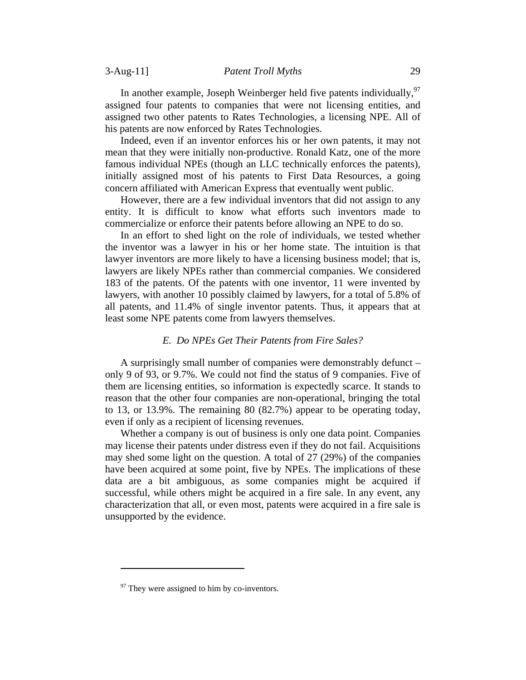In another example, Joseph Weinberger held five patents individually,  $97$ assigned four patents to companies that were not licensing entities, and assigned two other patents to Rates Technologies, a licensing NPE. All of his patents are now enforced by Rates Technologies.

Indeed, even if an inventor enforces his or her own patents, it may not mean that they were initially non-productive. Ronald Katz, one of the more famous individual NPEs (though an LLC technically enforces the patents), initially assigned most of his patents to First Data Resources, a going concern affiliated with American Express that eventually went public.

However, there are a few individual inventors that did not assign to any entity. It is difficult to know what efforts such inventors made to commercialize or enforce their patents before allowing an NPE to do so.

In an effort to shed light on the role of individuals, we tested whether the inventor was a lawyer in his or her home state. The intuition is that lawyer inventors are more likely to have a licensing business model; that is, lawyers are likely NPEs rather than commercial companies. We considered 183 of the patents. Of the patents with one inventor, 11 were invented by lawyers, with another 10 possibly claimed by lawyers, for a total of 5.8% of all patents, and 11.4% of single inventor patents. Thus, it appears that at least some NPE patents come from lawyers themselves.

#### *E. Do NPEs Get Their Patents from Fire Sales?*

A surprisingly small number of companies were demonstrably defunct – only 9 of 93, or 9.7%. We could not find the status of 9 companies. Five of them are licensing entities, so information is expectedly scarce. It stands to reason that the other four companies are non-operational, bringing the total to 13, or 13.9%. The remaining 80 (82.7%) appear to be operating today, even if only as a recipient of licensing revenues.

Whether a company is out of business is only one data point. Companies may license their patents under distress even if they do not fail. Acquisitions may shed some light on the question. A total of 27 (29%) of the companies have been acquired at some point, five by NPEs. The implications of these data are a bit ambiguous, as some companies might be acquired if successful, while others might be acquired in a fire sale. In any event, any characterization that all, or even most, patents were acquired in a fire sale is unsupported by the evidence.

 $97$  They were assigned to him by co-inventors.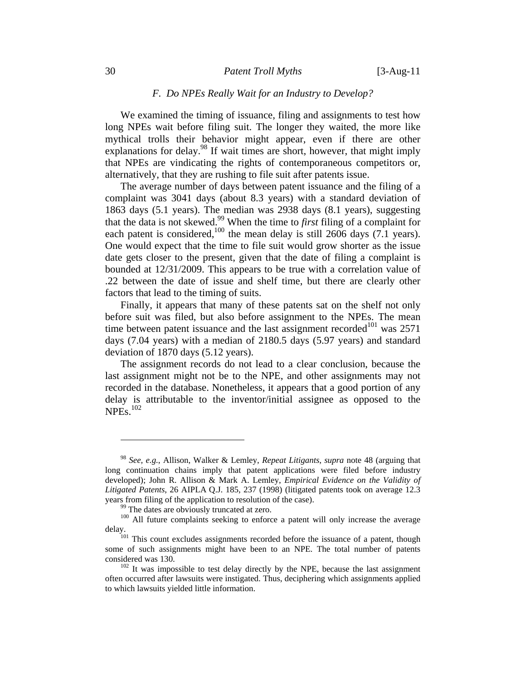#### 30 *Patent Troll Myths* [3-Aug-11

#### *F. Do NPEs Really Wait for an Industry to Develop?*

We examined the timing of issuance, filing and assignments to test how long NPEs wait before filing suit. The longer they waited, the more like mythical trolls their behavior might appear, even if there are other explanations for delay. $^{98}$  If wait times are short, however, that might imply that NPEs are vindicating the rights of contemporaneous competitors or, alternatively, that they are rushing to file suit after patents issue.

The average number of days between patent issuance and the filing of a complaint was 3041 days (about 8.3 years) with a standard deviation of 1863 days (5.1 years). The median was 2938 days (8.1 years), suggesting that the data is not skewed.99 When the time to *first* filing of a complaint for each patent is considered,<sup>100</sup> the mean delay is still  $2606$  days (7.1 years). One would expect that the time to file suit would grow shorter as the issue date gets closer to the present, given that the date of filing a complaint is bounded at 12/31/2009. This appears to be true with a correlation value of .22 between the date of issue and shelf time, but there are clearly other factors that lead to the timing of suits.

Finally, it appears that many of these patents sat on the shelf not only before suit was filed, but also before assignment to the NPEs. The mean time between patent issuance and the last assignment recorded<sup>101</sup> was 2571 days (7.04 years) with a median of 2180.5 days (5.97 years) and standard deviation of 1870 days (5.12 years).

The assignment records do not lead to a clear conclusion, because the last assignment might not be to the NPE, and other assignments may not recorded in the database. Nonetheless, it appears that a good portion of any delay is attributable to the inventor/initial assignee as opposed to the  $NPEs.<sup>102</sup>$ 

<sup>98</sup> *See, e.g.*, Allison, Walker & Lemley, *Repeat Litigants*, *supra* note 48 (arguing that long continuation chains imply that patent applications were filed before industry developed); John R. Allison & Mark A. Lemley, *Empirical Evidence on the Validity of Litigated Patents*, 26 AIPLA Q.J. 185, 237 (1998) (litigated patents took on average 12.3 years from filing of the application to resolution of the case).<br><sup>99</sup> The dates are obviously truncated at zero.<br><sup>100</sup> All future complaints seeking to enforce a patent will only increase the average

delay.<br><sup>101</sup> This count excludes assignments recorded before the issuance of a patent, though

some of such assignments might have been to an NPE. The total number of patents considered was 130.  $102$  It was impossible to test delay directly by the NPE, because the last assignment

often occurred after lawsuits were instigated. Thus, deciphering which assignments applied to which lawsuits yielded little information.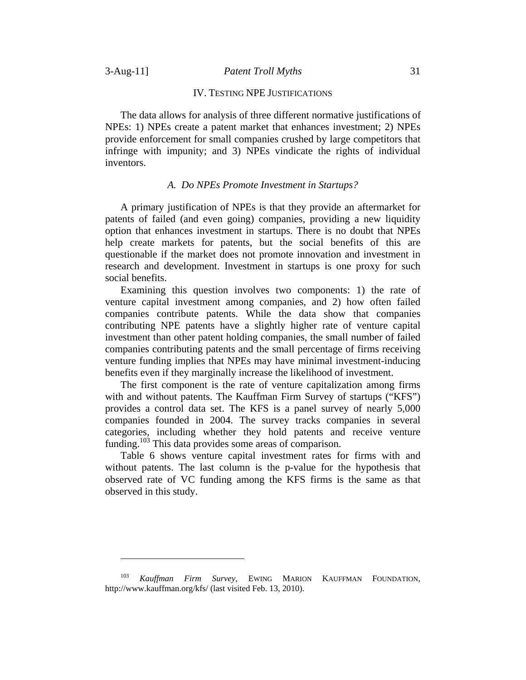#### IV. TESTING NPE JUSTIFICATIONS

The data allows for analysis of three different normative justifications of NPEs: 1) NPEs create a patent market that enhances investment; 2) NPEs provide enforcement for small companies crushed by large competitors that infringe with impunity; and 3) NPEs vindicate the rights of individual inventors.

### *A. Do NPEs Promote Investment in Startups?*

A primary justification of NPEs is that they provide an aftermarket for patents of failed (and even going) companies, providing a new liquidity option that enhances investment in startups. There is no doubt that NPEs help create markets for patents, but the social benefits of this are questionable if the market does not promote innovation and investment in research and development. Investment in startups is one proxy for such social benefits.

Examining this question involves two components: 1) the rate of venture capital investment among companies, and 2) how often failed companies contribute patents. While the data show that companies contributing NPE patents have a slightly higher rate of venture capital investment than other patent holding companies, the small number of failed companies contributing patents and the small percentage of firms receiving venture funding implies that NPEs may have minimal investment-inducing benefits even if they marginally increase the likelihood of investment.

The first component is the rate of venture capitalization among firms with and without patents. The Kauffman Firm Survey of startups ("KFS") provides a control data set. The KFS is a panel survey of nearly 5,000 companies founded in 2004. The survey tracks companies in several categories, including whether they hold patents and receive venture funding.103 This data provides some areas of comparison.

Table 6 shows venture capital investment rates for firms with and without patents. The last column is the p-value for the hypothesis that observed rate of VC funding among the KFS firms is the same as that observed in this study.

<sup>103</sup> *Kauffman Firm Survey*, EWING MARION KAUFFMAN FOUNDATION, http://www.kauffman.org/kfs/ (last visited Feb. 13, 2010).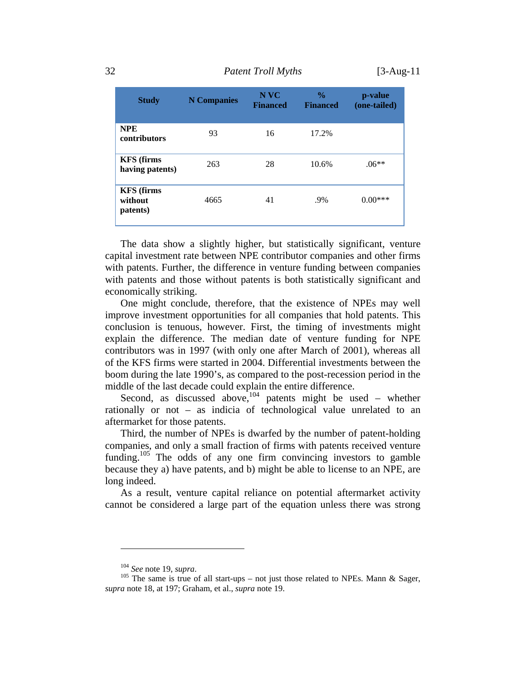32 *Patent Troll Myths* [3-Aug-11

| <b>Study</b>                             | <b>N</b> Companies | N VC<br><b>Financed</b> | $\frac{0}{0}$<br><b>Financed</b> | p-value<br>(one-tailed) |
|------------------------------------------|--------------------|-------------------------|----------------------------------|-------------------------|
| <b>NPE</b><br>contributors               | 93                 | 16                      | 17.2%                            |                         |
| <b>KFS</b> (firms<br>having patents)     | 263                | 28                      | 10.6%                            | $.06**$                 |
| <b>KFS</b> (firms<br>without<br>patents) | 4665               | 41                      | .9%                              | $0.00***$               |

The data show a slightly higher, but statistically significant, venture capital investment rate between NPE contributor companies and other firms with patents. Further, the difference in venture funding between companies with patents and those without patents is both statistically significant and economically striking.

One might conclude, therefore, that the existence of NPEs may well improve investment opportunities for all companies that hold patents. This conclusion is tenuous, however. First, the timing of investments might explain the difference. The median date of venture funding for NPE contributors was in 1997 (with only one after March of 2001), whereas all of the KFS firms were started in 2004. Differential investments between the boom during the late 1990's, as compared to the post-recession period in the middle of the last decade could explain the entire difference.

Second, as discussed above,  $104$  patents might be used – whether rationally or not – as indicia of technological value unrelated to an aftermarket for those patents.

Third, the number of NPEs is dwarfed by the number of patent-holding companies, and only a small fraction of firms with patents received venture funding.<sup>105</sup> The odds of any one firm convincing investors to gamble because they a) have patents, and b) might be able to license to an NPE, are long indeed.

As a result, venture capital reliance on potential aftermarket activity cannot be considered a large part of the equation unless there was strong

<sup>&</sup>lt;sup>104</sup> *See* note 19, *supra*.<br><sup>105</sup> The same is true of all start-ups – not just those related to NPEs. Mann & Sager, *supra* note 18, at 197; Graham, et al., *supra* note 19.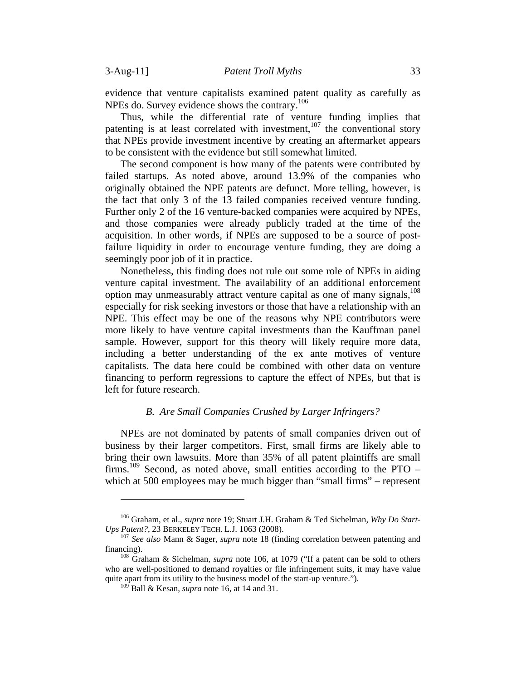evidence that venture capitalists examined patent quality as carefully as NPEs do. Survey evidence shows the contrary.<sup>106</sup>

Thus, while the differential rate of venture funding implies that patenting is at least correlated with investment,  $107$  the conventional story that NPEs provide investment incentive by creating an aftermarket appears to be consistent with the evidence but still somewhat limited.

The second component is how many of the patents were contributed by failed startups. As noted above, around 13.9% of the companies who originally obtained the NPE patents are defunct. More telling, however, is the fact that only 3 of the 13 failed companies received venture funding. Further only 2 of the 16 venture-backed companies were acquired by NPEs, and those companies were already publicly traded at the time of the acquisition. In other words, if NPEs are supposed to be a source of postfailure liquidity in order to encourage venture funding, they are doing a seemingly poor job of it in practice.

Nonetheless, this finding does not rule out some role of NPEs in aiding venture capital investment. The availability of an additional enforcement option may unmeasurably attract venture capital as one of many signals,  $^{108}$ especially for risk seeking investors or those that have a relationship with an NPE. This effect may be one of the reasons why NPE contributors were more likely to have venture capital investments than the Kauffman panel sample. However, support for this theory will likely require more data, including a better understanding of the ex ante motives of venture capitalists. The data here could be combined with other data on venture financing to perform regressions to capture the effect of NPEs, but that is left for future research.

## *B. Are Small Companies Crushed by Larger Infringers?*

NPEs are not dominated by patents of small companies driven out of business by their larger competitors. First, small firms are likely able to bring their own lawsuits. More than 35% of all patent plaintiffs are small firms.<sup>109</sup> Second, as noted above, small entities according to the PTO – which at 500 employees may be much bigger than "small firms" – represent

<sup>106</sup> Graham, et al., *supra* note 19; Stuart J.H. Graham & Ted Sichelman, *Why Do Start-Ups Patent?*, 23 BERKELEY TECH. L.J. 1063 (2008). <sup>107</sup> *See also* Mann & Sager, *supra* note 18 (finding correlation between patenting and

financing). 108 Graham & Sichelman, *supra* note 106, at 1079 ("If a patent can be sold to others

who are well-positioned to demand royalties or file infringement suits, it may have value quite apart from its utility to the business model of the start-up venture.").

 $^{109}$  Ball & Kesan, *supra* note 16, at 14 and 31.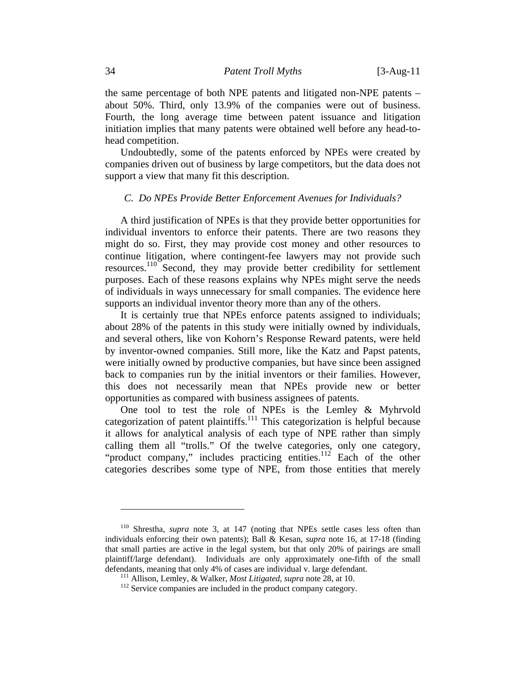the same percentage of both NPE patents and litigated non-NPE patents – about 50%. Third, only 13.9% of the companies were out of business. Fourth, the long average time between patent issuance and litigation initiation implies that many patents were obtained well before any head-tohead competition.

Undoubtedly, some of the patents enforced by NPEs were created by companies driven out of business by large competitors, but the data does not support a view that many fit this description.

# *C. Do NPEs Provide Better Enforcement Avenues for Individuals?*

A third justification of NPEs is that they provide better opportunities for individual inventors to enforce their patents. There are two reasons they might do so. First, they may provide cost money and other resources to continue litigation, where contingent-fee lawyers may not provide such resources.110 Second, they may provide better credibility for settlement purposes. Each of these reasons explains why NPEs might serve the needs of individuals in ways unnecessary for small companies. The evidence here supports an individual inventor theory more than any of the others.

It is certainly true that NPEs enforce patents assigned to individuals; about 28% of the patents in this study were initially owned by individuals, and several others, like von Kohorn's Response Reward patents, were held by inventor-owned companies. Still more, like the Katz and Papst patents, were initially owned by productive companies, but have since been assigned back to companies run by the initial inventors or their families. However, this does not necessarily mean that NPEs provide new or better opportunities as compared with business assignees of patents.

One tool to test the role of NPEs is the Lemley & Myhrvold categorization of patent plaintiffs.<sup>111</sup> This categorization is helpful because it allows for analytical analysis of each type of NPE rather than simply calling them all "trolls." Of the twelve categories, only one category, "product company," includes practicing entities.<sup>112</sup> Each of the other categories describes some type of NPE, from those entities that merely

<sup>110</sup> Shrestha, *supra* note 3, at 147 (noting that NPEs settle cases less often than individuals enforcing their own patents); Ball & Kesan, *supra* note 16, at 17-18 (finding that small parties are active in the legal system, but that only 20% of pairings are small plaintiff/large defendant). Individuals are only approximately one-fifth of the small defendants, meaning that only 4% of cases are individual v. large defendant.<br><sup>111</sup> Allison, Lemley, & Walker, *Most Litigated*, *supra* note 28, at 10.<br><sup>112</sup> Service companies are included in the product company category.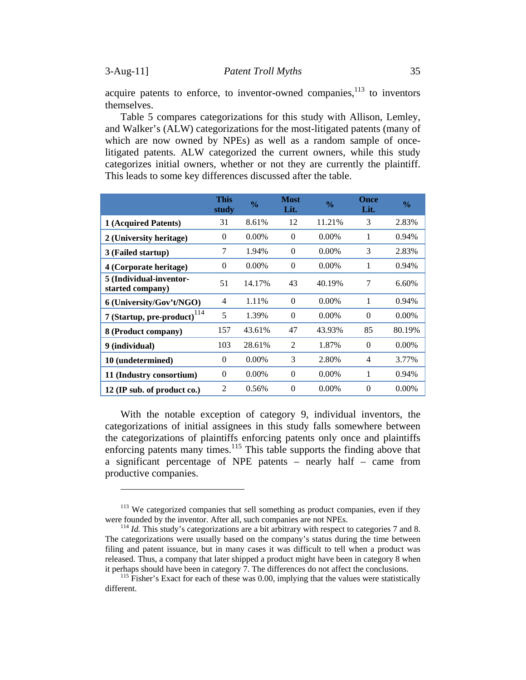acquire patents to enforce, to inventor-owned companies,  $113$  to inventors themselves.

Table 5 compares categorizations for this study with Allison, Lemley, and Walker's (ALW) categorizations for the most-litigated patents (many of which are now owned by NPEs) as well as a random sample of oncelitigated patents. ALW categorized the current owners, while this study categorizes initial owners, whether or not they are currently the plaintiff. This leads to some key differences discussed after the table.

|                                             | <b>This</b><br>study | $\frac{0}{0}$ | <b>Most</b><br>Lit. | $\frac{0}{0}$ | <b>Once</b><br>Lit. | $\frac{6}{6}$ |
|---------------------------------------------|----------------------|---------------|---------------------|---------------|---------------------|---------------|
| 1 (Acquired Patents)                        | 31                   | 8.61%         | 12                  | 11.21%        | 3                   | 2.83%         |
| 2 (University heritage)                     | $\Omega$             | $0.00\%$      | $\Omega$            | $0.00\%$      | 1                   | 0.94%         |
| 3 (Failed startup)                          | 7                    | 1.94%         | $\Omega$            | $0.00\%$      | 3                   | 2.83%         |
| 4 (Corporate heritage)                      | $\Omega$             | $0.00\%$      | $\Omega$            | $0.00\%$      | 1                   | 0.94%         |
| 5 (Individual-inventor-<br>started company) | 51                   | 14.17%        | 43                  | 40.19%        | 7                   | 6.60%         |
| 6 (University/Gov't/NGO)                    | 4                    | 1.11%         | $\Omega$            | $0.00\%$      | 1                   | 0.94%         |
| 7 (Startup, pre-product) <sup>114</sup>     | 5                    | 1.39%         | $\Omega$            | $0.00\%$      | $\Omega$            | $0.00\%$      |
| 8 (Product company)                         | 157                  | 43.61%        | 47                  | 43.93%        | 85                  | 80.19%        |
| 9 (individual)                              | 103                  | 28.61%        | 2                   | 1.87%         | $\Omega$            | $0.00\%$      |
| 10 (undetermined)                           | $\Omega$             | $0.00\%$      | 3                   | 2.80%         | $\overline{4}$      | 3.77%         |
| 11 (Industry consortium)                    | $\Omega$             | $0.00\%$      | $\Omega$            | $0.00\%$      | 1                   | 0.94%         |
| 12 (IP sub. of product co.)                 | $\mathcal{D}$        | 0.56%         | $\Omega$            | $0.00\%$      | $\Omega$            | $0.00\%$      |

With the notable exception of category 9, individual inventors, the categorizations of initial assignees in this study falls somewhere between the categorizations of plaintiffs enforcing patents only once and plaintiffs enforcing patents many times.<sup>115</sup> This table supports the finding above that a significant percentage of NPE patents – nearly half – came from productive companies.

 $113$  We categorized companies that sell something as product companies, even if they were founded by the inventor. After all, such companies are not NPEs.

 $^{114}$  *Id.* This study's categorizations are a bit arbitrary with respect to categories 7 and 8. The categorizations were usually based on the company's status during the time between filing and patent issuance, but in many cases it was difficult to tell when a product was released. Thus, a company that later shipped a product might have been in category 8 when it perhaps should have been in category 7. The differences do not affect the conclusions.<br><sup>115</sup> Fisher's Exact for each of these was 0.00, implying that the values were statistically

different.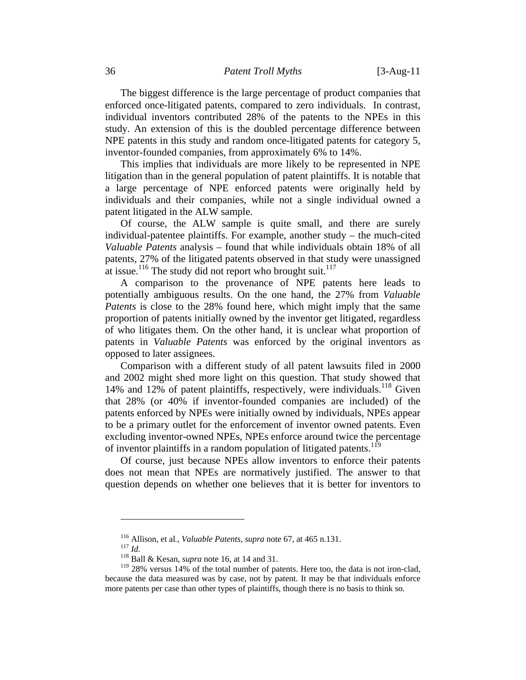### 36 *Patent Troll Myths* [3-Aug-11

The biggest difference is the large percentage of product companies that enforced once-litigated patents, compared to zero individuals. In contrast, individual inventors contributed 28% of the patents to the NPEs in this study. An extension of this is the doubled percentage difference between NPE patents in this study and random once-litigated patents for category 5, inventor-founded companies, from approximately 6% to 14%.

This implies that individuals are more likely to be represented in NPE litigation than in the general population of patent plaintiffs. It is notable that a large percentage of NPE enforced patents were originally held by individuals and their companies, while not a single individual owned a patent litigated in the ALW sample.

Of course, the ALW sample is quite small, and there are surely individual-patentee plaintiffs. For example, another study – the much-cited *Valuable Patents* analysis – found that while individuals obtain 18% of all patents, 27% of the litigated patents observed in that study were unassigned at issue.<sup>116</sup> The study did not report who brought suit.<sup>117</sup>

A comparison to the provenance of NPE patents here leads to potentially ambiguous results. On the one hand, the 27% from *Valuable Patents* is close to the 28% found here, which might imply that the same proportion of patents initially owned by the inventor get litigated, regardless of who litigates them. On the other hand, it is unclear what proportion of patents in *Valuable Patents* was enforced by the original inventors as opposed to later assignees.

Comparison with a different study of all patent lawsuits filed in 2000 and 2002 might shed more light on this question. That study showed that 14% and 12% of patent plaintiffs, respectively, were individuals.<sup>118</sup> Given that 28% (or 40% if inventor-founded companies are included) of the patents enforced by NPEs were initially owned by individuals, NPEs appear to be a primary outlet for the enforcement of inventor owned patents. Even excluding inventor-owned NPEs, NPEs enforce around twice the percentage of inventor plaintiffs in a random population of litigated patents.<sup>119</sup>

Of course, just because NPEs allow inventors to enforce their patents does not mean that NPEs are normatively justified. The answer to that question depends on whether one believes that it is better for inventors to

<sup>116</sup> Allison, et al*.*, *Valuable Patents*, *supra* note 67, at 465 n.131. 117 *Id.* 118 Ball & Kesan, *supra* note 16, at 14 and 31.

<sup>&</sup>lt;sup>119</sup> 28% versus 14% of the total number of patents. Here too, the data is not iron-clad, because the data measured was by case, not by patent. It may be that individuals enforce more patents per case than other types of plaintiffs, though there is no basis to think so.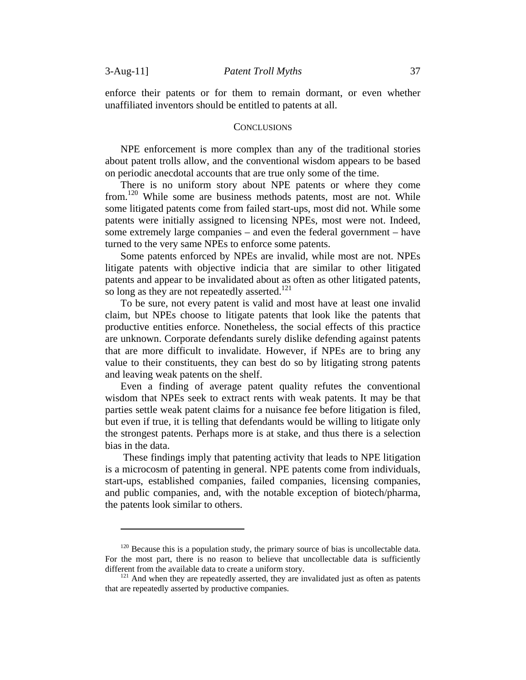enforce their patents or for them to remain dormant, or even whether unaffiliated inventors should be entitled to patents at all.

#### **CONCLUSIONS**

NPE enforcement is more complex than any of the traditional stories about patent trolls allow, and the conventional wisdom appears to be based on periodic anecdotal accounts that are true only some of the time.

There is no uniform story about NPE patents or where they come from.120 While some are business methods patents, most are not. While some litigated patents come from failed start-ups, most did not. While some patents were initially assigned to licensing NPEs, most were not. Indeed, some extremely large companies – and even the federal government – have turned to the very same NPEs to enforce some patents.

Some patents enforced by NPEs are invalid, while most are not. NPEs litigate patents with objective indicia that are similar to other litigated patents and appear to be invalidated about as often as other litigated patents, so long as they are not repeatedly asserted.<sup>121</sup>

To be sure, not every patent is valid and most have at least one invalid claim, but NPEs choose to litigate patents that look like the patents that productive entities enforce. Nonetheless, the social effects of this practice are unknown. Corporate defendants surely dislike defending against patents that are more difficult to invalidate. However, if NPEs are to bring any value to their constituents, they can best do so by litigating strong patents and leaving weak patents on the shelf.

Even a finding of average patent quality refutes the conventional wisdom that NPEs seek to extract rents with weak patents. It may be that parties settle weak patent claims for a nuisance fee before litigation is filed, but even if true, it is telling that defendants would be willing to litigate only the strongest patents. Perhaps more is at stake, and thus there is a selection bias in the data.

 These findings imply that patenting activity that leads to NPE litigation is a microcosm of patenting in general. NPE patents come from individuals, start-ups, established companies, failed companies, licensing companies, and public companies, and, with the notable exception of biotech/pharma, the patents look similar to others.

 $120$  Because this is a population study, the primary source of bias is uncollectable data. For the most part, there is no reason to believe that uncollectable data is sufficiently different from the available data to create a uniform story.<br><sup>121</sup> And when they are repeatedly asserted, they are invalidated just as often as patents

that are repeatedly asserted by productive companies.